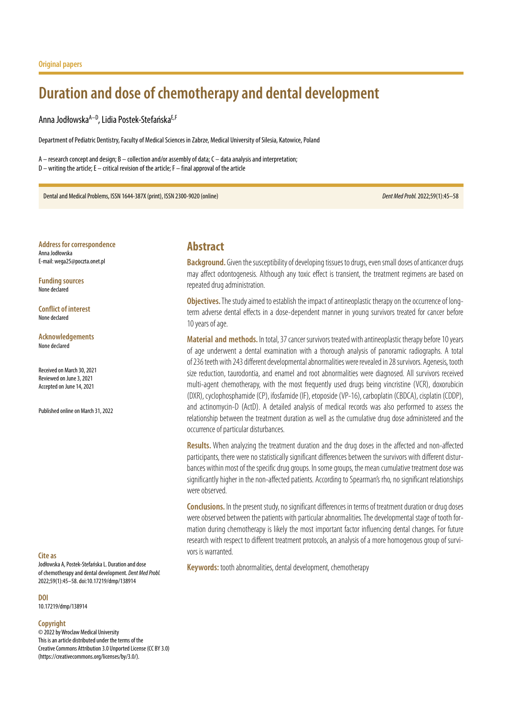# **Duration and dose of chemotherapy and dental development**

Anna Jodłowska<sup>A–D</sup>, Lidia Postek-Stefańska<sup>E,F</sup>

Department of Pediatric Dentistry, Faculty of Medical Sciences in Zabrze, Medical University of Silesia, Katowice, Poland

A – research concept and design; B – collection and/or assembly of data; C – data analysis and interpretation; D – writing the article; E – critical revision of the article; F – final approval of the article

Dental and Medical Problems, ISSN 1644-387X (print), ISSN 2300-9020 (online) *Dent Med Probl.* 2022;59(1):45–58

**Address for correspondence** Anna Jodłowska E-mail: wega25@poczta.onet.pl

**Funding sources** None declared

**Conflict of interest** None declared

**Acknowledgements** None declared

Received on March 30, 2021 Reviewed on June 3, 2021 Accepted on June 14, 2021

Published online on March 31, 2022

#### **Cite as**

Jodłowska A, Postek-Stefańska L. Duration and dose of chemotherapy and dental development. *Dent Med Probl.* 2022;59(1):45–58. doi:10.17219/dmp/138914

#### **DOI**

10.17219/dmp/138914

#### **Copyright**

© 2022 by Wroclaw Medical University This is an article distributed under the terms of the Creative Commons Attribution 3.0 Unported License (CC BY 3.0) [\(https://creativecommons.org/licenses/by/3.0/\)](https://creativecommons.org/licenses/by/3.0/).

## **Abstract**

**Background.** Given the susceptibility of developing tissues to drugs, even small doses of anticancer drugs may affect odontogenesis. Although any toxic effect is transient, the treatment regimens are based on repeated drug administration.

**Objectives.** The study aimed to establish the impact of antineoplastic therapy on the occurrence of longterm adverse dental effects in a dose-dependent manner in young survivors treated for cancer before 10 years of age.

**Material and methods.** In total, 37 cancer survivors treated with antineoplastic therapy before 10 years of age underwent a dental examination with a thorough analysis of panoramic radiographs. A total of 236 teeth with 243 different developmental abnormalities were revealed in 28 survivors. Agenesis, tooth size reduction, taurodontia, and enamel and root abnormalities were diagnosed. All survivors received multi-agent chemotherapy, with the most frequently used drugs being vincristine (VCR), doxorubicin (DXR), cyclophosphamide (CP), ifosfamide (IF), etoposide (VP-16), carboplatin (CBDCA), cisplatin (CDDP), and actinomycin-D (ActD). A detailed analysis of medical records was also performed to assess the relationship between the treatment duration as well as the cumulative drug dose administered and the occurrence of particular disturbances.

**Results.** When analyzing the treatment duration and the drug doses in the affected and non-affected participants, there were no statistically significant differences between the survivors with different disturbances within most of the specific drug groups. In some groups, the mean cumulative treatment dose was significantly higher in the non-affected patients. According to Spearman's rho, no significant relationships were observed.

**Conclusions.** In the present study, no significant differences in terms of treatment duration or drug doses were observed between the patients with particular abnormalities. The developmental stage of tooth formation during chemotherapy is likely the most important factor influencing dental changes. For future research with respect to different treatment protocols, an analysis of a more homogenous group of survivors is warranted.

**Keywords:** tooth abnormalities, dental development, chemotherapy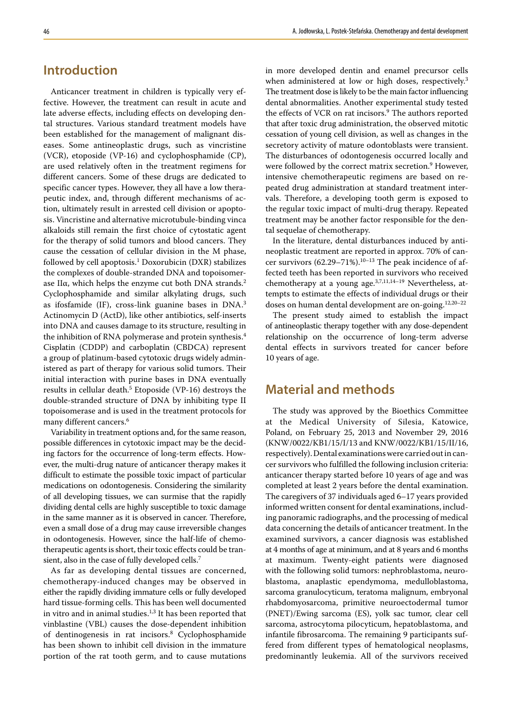# **Introduction**

Anticancer treatment in children is typically very effective. However, the treatment can result in acute and late adverse effects, including effects on developing dental structures. Various standard treatment models have been established for the management of malignant diseases. Some antineoplastic drugs, such as vincristine (VCR), etoposide (VP‑16) and cyclophosphamide (CP), are used relatively often in the treatment regimens for different cancers. Some of these drugs are dedicated to specific cancer types. However, they all have a low therapeutic index, and, through different mechanisms of action, ultimately result in arrested cell division or apoptosis. Vincristine and alternative microtubule-binding vinca alkaloids still remain the first choice of cytostatic agent for the therapy of solid tumors and blood cancers. They cause the cessation of cellular division in the M phase, followed by cell apoptosis.1 Doxorubicin (DXR) stabilizes the complexes of double-stranded DNA and topoisomerase IIα, which helps the enzyme cut both DNA strands.2 Cyclophosphamide and similar alkylating drugs, such as ifosfamide (IF), cross-link guanine bases in DNA.<sup>3</sup> Actinomycin D (ActD), like other antibiotics, self-inserts into DNA and causes damage to its structure, resulting in the inhibition of RNA polymerase and protein synthesis.<sup>4</sup> Cisplatin (CDDP) and carboplatin (CBDCA) represent a group of platinum-based cytotoxic drugs widely administered as part of therapy for various solid tumors. Their initial interaction with purine bases in DNA eventually results in cellular death.<sup>5</sup> Etoposide (VP-16) destroys the double-stranded structure of DNA by inhibiting type II topoisomerase and is used in the treatment protocols for many different cancers.<sup>6</sup>

Variability in treatment options and, for the same reason, possible differences in cytotoxic impact may be the deciding factors for the occurrence of long-term effects. However, the multi-drug nature of anticancer therapy makes it difficult to estimate the possible toxic impact of particular medications on odontogenesis. Considering the similarity of all developing tissues, we can surmise that the rapidly dividing dental cells are highly susceptible to toxic damage in the same manner as it is observed in cancer. Therefore, even a small dose of a drug may cause irreversible changes in odontogenesis. However, since the half-life of chemotherapeutic agents is short, their toxic effects could be transient, also in the case of fully developed cells.7

As far as developing dental tissues are concerned, chemotherapy-induced changes may be observed in either the rapidly dividing immature cells or fully developed hard tissue-forming cells. This has been well documented in vitro and in animal studies. $1,3$  It has been reported that vinblastine (VBL) causes the dose-dependent inhibition of dentinogenesis in rat incisors.<sup>8</sup> Cyclophosphamide has been shown to inhibit cell division in the immature portion of the rat tooth germ, and to cause mutations

in more developed dentin and enamel precursor cells when administered at low or high doses, respectively.<sup>3</sup> The treatment dose is likely to be the main factor influencing dental abnormalities. Another experimental study tested the effects of VCR on rat incisors.<sup>9</sup> The authors reported that after toxic drug administration, the observed mitotic cessation of young cell division, as well as changes in the secretory activity of mature odontoblasts were transient. The disturbances of odontogenesis occurred locally and were followed by the correct matrix secretion.<sup>9</sup> However, intensive chemotherapeutic regimens are based on repeated drug administration at standard treatment intervals. Therefore, a developing tooth germ is exposed to the regular toxic impact of multi-drug therapy. Repeated treatment may be another factor responsible for the dental sequelae of chemotherapy.

In the literature, dental disturbances induced by antineoplastic treatment are reported in approx. 70% of cancer survivors (62.29–71%).<sup>10–13</sup> The peak incidence of affected teeth has been reported in survivors who received chemotherapy at a young age.<sup>3,7,11,14-19</sup> Nevertheless, attempts to estimate the effects of individual drugs or their doses on human dental development are on-going.12,20–22

The present study aimed to establish the impact of antineoplastic therapy together with any dose-dependent relationship on the occurrence of long-term adverse dental effects in survivors treated for cancer before 10 years of age.

# **Material and methods**

The study was approved by the Bioethics Committee at the Medical University of Silesia, Katowice, Poland, on February 25, 2013 and November 29, 2016 (KNW/0022/KB1/15/I/13 and KNW/0022/KB1/15/II/16, respectively). Dental examinations were carried out in cancer survivors who fulfilled the following inclusion criteria: anticancer therapy started before 10 years of age and was completed at least 2 years before the dental examination. The caregivers of 37 individuals aged 6–17 years provided informed written consent for dental examinations, including panoramic radiographs, and the processing of medical data concerning the details of anticancer treatment. In the examined survivors, a cancer diagnosis was established at 4 months of age at minimum, and at 8 years and 6 months at maximum. Twenty-eight patients were diagnosed with the following solid tumors: nephroblastoma, neuroblastoma, anaplastic ependymoma, medulloblastoma, sarcoma granulocyticum, teratoma malignum, embryonal rhabdomyosarcoma, primitive neuroectodermal tumor (PNET)/Ewing sarcoma (ES), yolk sac tumor, clear cell sarcoma, astrocytoma pilocyticum, hepatoblastoma, and infantile fibrosarcoma. The remaining 9 participants suffered from different types of hematological neoplasms, predominantly leukemia. All of the survivors received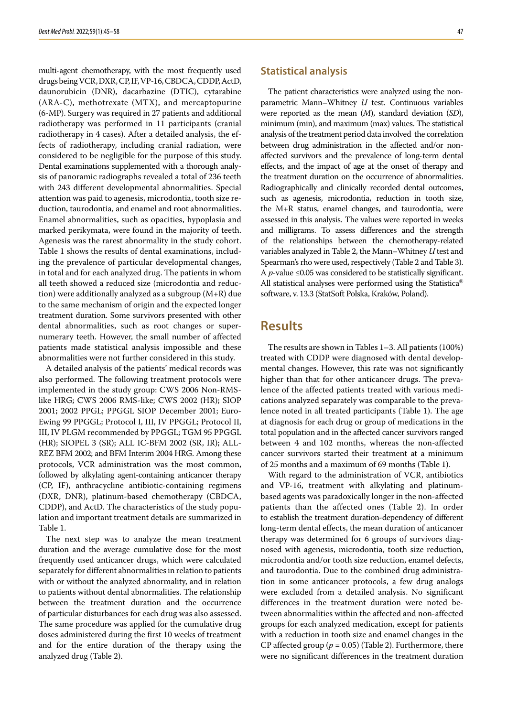multi-agent chemotherapy, with the most frequently used drugs being VCR, DXR, CP, IF, VP‑16, CBDCA, CDDP, ActD, daunorubicin (DNR), dacarbazine (DTIC), cytarabine (ARA-C), methotrexate (MTX), and mercaptopurine (6-MP). Surgery was required in 27 patients and additional radiotherapy was performed in 11 participants (cranial radiotherapy in 4 cases). After a detailed analysis, the effects of radiotherapy, including cranial radiation, were considered to be negligible for the purpose of this study. Dental examinations supplemented with a thorough analysis of panoramic radiographs revealed a total of 236 teeth with 243 different developmental abnormalities. Special attention was paid to agenesis, microdontia, tooth size re‑ duction, taurodontia, and enamel and root abnormalities. Enamel abnormalities, such as opacities, hypoplasia and marked perikymata, were found in the majority of teeth. Agenesis was the rarest abnormality in the study cohort. Table 1 shows the results of dental examinations, including the prevalence of particular developmental changes, in total and for each analyzed drug. The patients in whom all teeth showed a reduced size (microdontia and reduction) were additionally analyzed as a subgroup (M+R) due to the same mechanism of origin and the expected longer treatment duration. Some survivors presented with other dental abnormalities, such as root changes or supernumerary teeth. However, the small number of affected patients made statistical analysis impossible and these abnormalities were not further considered in this study.

A detailed analysis of the patients' medical records was also performed. The following treatment protocols were implemented in the study group: CWS 2006 Non-RMSlike HRG; CWS 2006 RMS-like; CWS 2002 (HR); SIOP 2001; 2002 PPGL; PPGGL SIOP December 2001; Euro-Ewing 99 PPGGL; Protocol I, III, IV PPGGL; Protocol II, III, IV PLGM recommended by PPGGL; TGM 95 PPGGL (HR); SIOPEL 3 (SR); ALL IC-BFM 2002 (SR, IR); ALL-REZ BFM 2002; and BFM Interim 2004 HRG. Among these protocols, VCR administration was the most common, followed by alkylating agent-containing anticancer therapy (CP, IF), anthracycline antibiotic-containing regimens (DXR, DNR), platinum-based chemotherapy (CBDCA, CDDP), and ActD. The characteristics of the study population and important treatment details are summarized in Table 1.

The next step was to analyze the mean treatment duration and the average cumulative dose for the most frequently used anticancer drugs, which were calculated separately for different abnormalities in relation to patients with or without the analyzed abnormality, and in relation to patients without dental abnormalities. The relationship between the treatment duration and the occurrence of particular disturbances for each drug was also assessed. The same procedure was applied for the cumulative drug doses administered during the first 10 weeks of treatment and for the entire duration of the therapy using the analyzed drug (Table 2).

#### **Statistical analysis**

The patient characteristics were analyzed using the nonparametric Mann–Whitney *U* test. Continuous variables were reported as the mean (*M*), standard deviation (*SD*), minimum (min), and maximum (max) values. The statistical analysis of the treatment period data involved the correlation between drug administration in the affected and/or nonaffected survivors and the prevalence of long-term dental effects, and the impact of age at the onset of therapy and the treatment duration on the occurrence of abnormalities. Radiographically and clinically recorded dental outcomes, such as agenesis, microdontia, reduction in tooth size, the M+R status, enamel changes, and taurodontia, were assessed in this analysis. The values were reported in weeks and milligrams. To assess differences and the strength of the relationships between the chemotherapy-related variables analyzed in Table 2, the Mann–Whitney *U* test and Spearman's rho were used, respectively (Table 2 and Table 3). A  $p$ -value  $\leq 0.05$  was considered to be statistically significant. All statistical analyses were performed using the Statistica® software, v. 13.3 (StatSoft Polska, Kraków, Poland).

### **Results**

The results are shown in Tables 1–3. All patients (100%) treated with CDDP were diagnosed with dental developmental changes. However, this rate was not significantly higher than that for other anticancer drugs. The prevalence of the affected patients treated with various medications analyzed separately was comparable to the preva‑ lence noted in all treated participants (Table 1). The age at diagnosis for each drug or group of medications in the total population and in the affected cancer survivors ranged between 4 and 102 months, whereas the non-affected cancer survivors started their treatment at a minimum of 25 months and a maximum of 69 months (Table 1).

With regard to the administration of VCR, antibiotics and VP‑16, treatment with alkylating and platinumbased agents was paradoxically longer in the non-affected patients than the affected ones (Table 2). In order to establish the treatment duration-dependency of different long-term dental effects, the mean duration of anticancer therapy was determined for 6 groups of survivors diagnosed with agenesis, microdontia, tooth size reduction, microdontia and/or tooth size reduction, enamel defects, and taurodontia. Due to the combined drug administration in some anticancer protocols, a few drug analogs were excluded from a detailed analysis. No significant differences in the treatment duration were noted between abnormalities within the affected and non-affected groups for each analyzed medication, except for patients with a reduction in tooth size and enamel changes in the CP affected group  $(p = 0.05)$  (Table 2). Furthermore, there were no significant differences in the treatment duration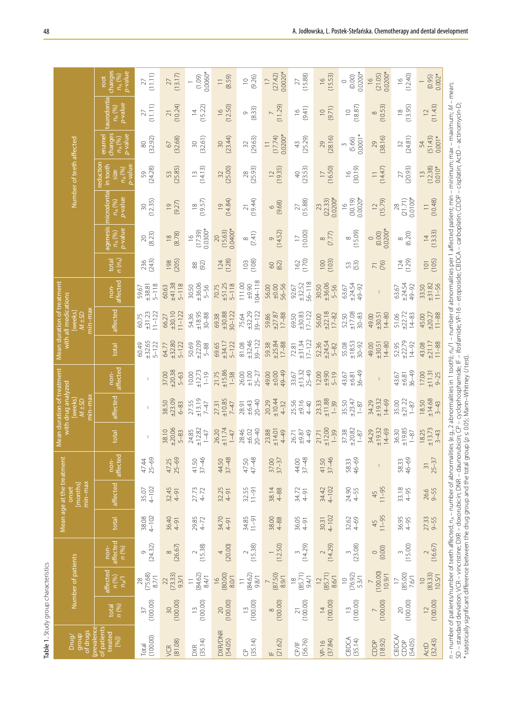| Table 1. Study group characteristics                                                                                                                                                                                                                                                                                                                                                                                                                                                                                                                                                    |                                       |                                    |                           |                    | Mean age at the treatment    |                              |                              | Mean duration of treatment                           |                                  |                               | Mean duration of treatment                      |                               |                                            |                                   |                                                   |                                                                 |                                                |                                    |                                                           |
|-----------------------------------------------------------------------------------------------------------------------------------------------------------------------------------------------------------------------------------------------------------------------------------------------------------------------------------------------------------------------------------------------------------------------------------------------------------------------------------------------------------------------------------------------------------------------------------------|---------------------------------------|------------------------------------|---------------------------|--------------------|------------------------------|------------------------------|------------------------------|------------------------------------------------------|----------------------------------|-------------------------------|-------------------------------------------------|-------------------------------|--------------------------------------------|-----------------------------------|---------------------------------------------------|-----------------------------------------------------------------|------------------------------------------------|------------------------------------|-----------------------------------------------------------|
| prevalence<br>of drugs<br>group<br>Drug/                                                                                                                                                                                                                                                                                                                                                                                                                                                                                                                                                |                                       | Number of patients                 |                           |                    | min-max<br>[months]<br>onset |                              |                              | with drug analyzed<br>nin-max<br>weeks<br>$M \pm SD$ |                                  |                               | with all medications<br>min–max<br>weeks<br>Q57 |                               |                                            |                                   |                                                   | Number of teeth affected                                        |                                                |                                    |                                                           |
| of patients<br>treated<br>[%]                                                                                                                                                                                                                                                                                                                                                                                                                                                                                                                                                           | n (%)<br>total                        | affected<br>n (%)<br>$n_A/1$       | affected<br>non-<br>n (%) | total              | affected                     | affected<br>non-             | total                        | affected                                             | affected<br>non-                 | total                         | affected                                        | affected<br>non-              | $n(n_A)$<br>total                          | agenesis<br>p-value<br>$n_A (%)$  | <b>nicrodontia</b><br><b>b-value</b><br>$n_A(96)$ | reduction<br>in tooth<br><b>b-value</b><br>$\overline{n_A}$ (%) | changes<br>p-value<br>ename<br>$n_{\rm A}$ (%) | aurodontia<br>p-value<br>$n_A(96)$ | changes<br><b>b-value</b><br>$n_{\mathsf{A}}$ (%)<br>root |
| (100.00)<br>Total                                                                                                                                                                                                                                                                                                                                                                                                                                                                                                                                                                       | (100.00)<br>37                        | (75.68)<br>87/1<br>28              | (24.32)<br>$\circ$        | 38.08<br>4-102     | $4 - 102$<br>35.07           | $25 - 69$<br>47.44           |                              | $\mathbf{I}$                                         |                                  | ±32.65<br>$5 - 122$<br>60.49  | $1 - 122$<br>±31.23<br>60.75                    | $5 - 118$<br>±38.81<br>59.67  | (243)<br>236                               | (8.23)<br>$\gtrsim$               | (12.35)<br>30                                     | (24.28)<br>59                                                   | (32.92)<br>80                                  | (11.11)<br>27                      | (11.11)<br>27                                             |
| (81.08)<br>VCR                                                                                                                                                                                                                                                                                                                                                                                                                                                                                                                                                                          | (100.00)<br>30                        | (73.33)<br>9.3/1<br>22             | (26.67)<br>$\infty$       | 36.40<br>$4 - 91$  | 32.45<br>$4 - 91$            | $25 - 69$<br>47.25           | ±20.06<br>38.10<br>$5 - 83$  | ±23.09<br>38.50<br>$6 - 83$                          | ±20.38<br>37.00<br>$5 - 63$      | ±32.80<br>$5 - 122$<br>64.77  | $1 - 122$<br>±30.10<br>66.27                    | ±41.38<br>$5 - 118$<br>60.63  | (205)<br>198                               | (8.78)<br>$\frac{8}{10}$          | (9.27)<br>$\overline{0}$                          | (25.85)                                                         | (32.68)<br>67                                  | (10.24)<br>$\gtrsim$               | (13.17)<br>27                                             |
| (35.14)<br>DXR                                                                                                                                                                                                                                                                                                                                                                                                                                                                                                                                                                          | (100.00)<br>$\widetilde{\phantom{m}}$ | (84.62)<br>8.4/1<br>$\equiv$       | (15.38)<br>$\sim$         | 29.85<br>4-72      | $27.73$<br>4-72              | $37 - 46$<br>41.50           | ±12.82<br>24.85<br>$1 - 47$  | ±13.19<br>27.55<br>$7 - 47$                          | ±12.73<br>10.00<br>$1 - 19$      | ±22.09<br>50.69<br>$5 - 88$   | ±18.95<br>$30 - 88$<br>54.36                    | ±36.06<br>30.50<br>$5 - 56$   | $\frac{88}{92}$                            | $0.0300*$<br>(17.39)<br>$\approx$ | (19.57)<br>$\frac{\infty}{\infty}$                | (14.13)<br>$\widetilde{\Box}$                                   | (32.61)<br>$\overline{30}$                     | (15.22)<br>$\overline{4}$          | $0.0060*$<br>(1.09)                                       |
| <b>DXR/DNR</b><br>(54.05)                                                                                                                                                                                                                                                                                                                                                                                                                                                                                                                                                               | (100.00)<br>20                        | (80.00)<br>8.0/1<br>$\frac{1}{2}$  | (20.00)<br>4              | 34.70<br>$4 - 91$  | 32.25<br>$4 - 91$            | $37 - 48$<br>44.50           | ±11.74<br>26.20<br>$1 - 47$  | ±10.85<br>27.31<br>$7 - 47$                          | ±15.86<br>21.75<br>$1 - 38$      | ±34.17<br>$5 - 122$<br>69.65  | $30 - 122$<br>±30.88<br>69.38                   | ±51.25<br>$5 - 118$<br>70.75  | $124$<br>(128)                             | $0.0400*$<br>(15.63)<br>$\infty$  | (14.84)<br>$\overline{0}$                         | (25.00)<br>32                                                   | (23.44)<br>30                                  | (12.50)<br>$\frac{\infty}{\infty}$ | (8.59)<br>$\equiv$                                        |
| (35.14)<br>$\partial$                                                                                                                                                                                                                                                                                                                                                                                                                                                                                                                                                                   | (100.00)<br>$\tilde{=}$               | (84.62)<br>9.8/1<br>$\equiv$       | (15.38)<br>$\sim$         | $34.85$<br>11-91   | $11 - 91$<br>32.55           | 47-48<br>47.50               | $20 - 40$<br>28.46<br>±6.02  | $20 - 40$<br>±6.43<br>28.91                          | 26.00<br>$\pm 1.00$<br>$25 - 27$ | ±32.46<br>$39 - 122$<br>81.08 | ±32.29<br>$39 - 122$<br>75.64                   | $04 - 118$<br>111.00<br>±9.90 | $\begin{array}{c} 103 \\ 0.08 \end{array}$ | (7.41)<br>$\infty$                | (19.44)<br>$\overline{2}1$                        | (25.93)<br>$^{28}$                                              | (29.63)<br>32                                  | (8.33)<br>Ò                        | (9.26)<br>$\supseteq$                                     |
| (21.62)<br>느                                                                                                                                                                                                                                                                                                                                                                                                                                                                                                                                                                            | (100.00)<br>$\infty$                  | (87.50)<br>8.9/1<br>$\overline{a}$ | (12.50)                   | 38.00<br>$4 - 88$  | 38.14<br>$4 - 88$            | $37 - 37$<br>37.00           | ±14.01<br>23.88<br>4-49      | ±10.44<br>20.29<br>$4 - 32$                          | 49-49<br>49.00<br>$000 \pm$      | ±25.84<br>$17 - 88$<br>59.38  | $17 - 88$<br>±27.87<br>59.86                    | 56-56<br>56.00<br>±0.00       | (62)<br>$\odot$                            | (14.52)<br>$\circ$                | (9.68)<br>6                                       | (19.35)<br>$\supseteq$                                          | $0.0200*$<br>(17.74)<br>$\equiv$               | (11.29)<br>$\overline{ }$          | $0.0020*$<br>(27.42)<br>$\overline{1}$                    |
| (56.76)<br>CP/IF                                                                                                                                                                                                                                                                                                                                                                                                                                                                                                                                                                        | (100.00)<br>$\overline{z}$            | (85.71)<br>9.4/1<br>$\frac{8}{1}$  | (14.29)<br>$\sim$         | 36.05<br>$4 - 91$  | 34.72<br>$4 - 91$            | $37 - 48$<br>44.00           | 26.71<br>4-49<br>±9.87       | 25.56<br>±9.16<br>$4 - 40$                           | ±13.32<br>$25 - 49$<br>33.67     | ±31.34<br>$17 - 122$<br>72.81 | ±30.83<br>$17 - 122$<br>69.50                   | 56-118<br>±32.52<br>92.67     | $162$<br>(170)                             | (10.00)<br>$\Box$                 | (15.88)<br>$\geq$                                 | (23.53)<br>$\sqrt{4}$                                           | (25.29)<br>$\ddot{4}$                          | (9.41)<br>$\frac{\infty}{\infty}$  | (15.88)<br>27                                             |
| (37.84)<br>$VP-16$                                                                                                                                                                                                                                                                                                                                                                                                                                                                                                                                                                      | (100.00)<br>$\overline{4}$            | (85.71)<br>8.6/1<br>$\overline{a}$ | (14.29)<br>$\sim$         | $4 - 102$<br>30.31 | $4 - 102$<br>34.42           | $37 - 46$<br>41.50           | ±12.00<br>$1 - 39$<br>21.71  | ±1.88<br>23.33<br>$1 - 39$                           | 12.00<br>0667<br>$5 - 19$        | ±24.54<br>52.36<br>5-82       | ±22.18<br>$17 - 82$<br>56.00                    | ±36.06<br>30.50<br>$5 - 56$   | $\frac{100}{(103)}$                        | $\frac{8}{(7.77)}$                | 0.0200*<br>(22.33)<br>23                          | (16.50)<br>$\overline{17}$                                      | (28.16)<br>29                                  | (9.71)<br>$\supseteq$              | (15.53)<br>$\frac{6}{1}$                                  |
| CBDCA<br>(35.14)                                                                                                                                                                                                                                                                                                                                                                                                                                                                                                                                                                        | (100.00)<br>$\tilde{=}$               | (76.92)<br>5.3/1<br>$\supseteq$    | (23.08)<br>$\infty$       | 32.62<br>4-69      | 24.90<br>4-55                | $46 - 69$<br>58.33           | ±20.82<br>37.38<br>$1-87$    | ±23.47<br>35.50<br>$1 - 87$                          | $36 - 49$<br>$-6.81$<br>43.67    | ±18.53<br>$30 - 92$<br>55.08  | ±17.08<br>$30 - 83$<br>52.50                    | ±24.54<br>49-92<br>63.67      | 53)                                        | (15.09)<br>$\infty$               | 0.0020*<br>(30.19)<br>$\frac{8}{1}$               | (30.19)<br>$\frac{6}{1}$                                        | $0.0001*$<br>(5.66)<br>$\infty$                | (18.87)<br>$\supseteq$             | 0.0200*<br>(0.00)<br>$\circ$                              |
| (18.92)<br>CDDP                                                                                                                                                                                                                                                                                                                                                                                                                                                                                                                                                                         | (100.00)                              | (100.00)<br>10.9/1                 | (0.00)<br>$\circ$         | $11 - 95$<br>45    | $11 - 95$<br>45              | $\overline{\phantom{a}}$     | ±19.32<br>$14 - 69$<br>34.29 | ±19.32<br>$14 - 69$<br>34.29                         | $\mathsf I$                      | ±30.51<br>$14 - 80$<br>49.00  | ±30.51<br>$14 - 80$<br>49.00                    | $\mathsf I$                   | 77                                         | $0.0200*$<br>(0.00)<br>$\circ$    | (15.79)<br>$\supseteq$                            | (14.47)                                                         | (38.16)<br>29                                  | (10.53)<br>$\infty$                | $0.0200*$<br>(21.05)<br>$\frac{1}{2}$                     |
| CBDCA<br>(54.05)<br>CDDP                                                                                                                                                                                                                                                                                                                                                                                                                                                                                                                                                                | (100.00)<br>$\approx$                 | (85.00)<br>7.6/1<br>$\overline{1}$ | (15.00)<br>3              | 36.95              | 33.18                        | 46-69<br>58.33               | ±19.85<br>36.30<br>$1 - 87$  | ±21.22<br>35.00<br>$1 - 87$                          | $36 - 49$<br>±6.81<br>43.67      | ±22.79<br>$14 - 92$<br>52.95  | ±22.72<br>$14 - 83$<br>51.06                    | ±24.54<br>49-92<br>63.67      | $124$<br>(129)                             | 6.20                              | 0.0100*<br>(21.71)<br>28                          | (20.93)<br>27                                                   | (24.81)<br>32                                  | (13.95)<br>$\approx$               | (12.40)<br>$\frac{1}{2}$                                  |
| (32.43)<br><b>ActD</b>                                                                                                                                                                                                                                                                                                                                                                                                                                                                                                                                                                  | (100.00)<br>$\overline{C}$            | (83.33)<br>10.5/1<br>$\supseteq$   | (16.67)<br>$\sim$         | 27.33              | 26.6<br>9-55                 | $25 - 37$<br>$\overline{31}$ | ±13.73<br>18.25<br>$3 - 43$  | ±14.68<br>18.50<br>$3 - 43$                          | ±11.31<br>17.00<br>$9 - 25$      | ±21.17<br>$11 - 88$<br>43.08  | ±20.27<br>$11 - 88$<br>45.00                    | ±31.82<br>$11 - 56$<br>33.50  | (105)                                      | (13.33)<br>$\overline{4}$         | (10.48)                                           | $(12.38)$<br>$0.010*$<br>$\frac{13}{2}$                         | (51.43)<br>$0.001*$<br>54                      | (11.43)<br>$\supseteq$             | $0.002*$<br>(0.95)<br>$\overline{\phantom{0}}$            |
| n – number of patients/number of teeth affected; n <sub>a</sub> – number of abnormalities (e.g., 2 abnormalities in 1 tooth); n <sub>a</sub> /1 – number of abnormalities per 1 affected patient; min – minimum; max – maximum; // – mean;<br>SD – standard deviation; VCR – vincristine; DXR – doxorubicin; DNR – daunorubicin; CP – cyclophospharnide; IF – ifosfamide; VP-16 – etoposide; CBDCA – carboplatin; CDP – cisplatin; ActD – actinomycin-D;<br>$^*$ statistically significant difference between the drug group and the total group ( $\rho$ ≤ 0.05; Mann–Whitney U test). |                                       |                                    |                           |                    |                              |                              |                              |                                                      |                                  |                               |                                                 |                               |                                            |                                   |                                                   |                                                                 |                                                |                                    |                                                           |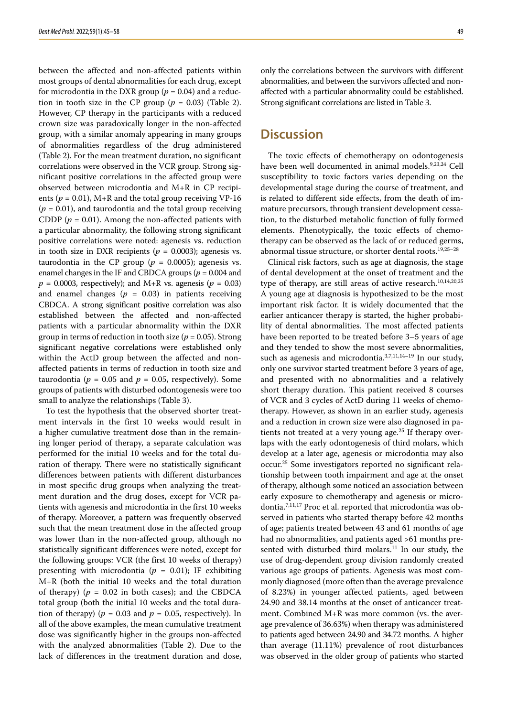between the affected and non-affected patients within most groups of dental abnormalities for each drug, except for microdontia in the DXR group ( $p = 0.04$ ) and a reduction in tooth size in the CP group  $(p = 0.03)$  (Table 2). However, CP therapy in the participants with a reduced crown size was paradoxically longer in the non-affected group, with a similar anomaly appearing in many groups of abnormalities regardless of the drug administered (Table 2). For the mean treatment duration, no significant correlations were observed in the VCR group. Strong significant positive correlations in the affected group were observed between microdontia and  $M+R$  in CP recipients ( $p = 0.01$ ), M+R and the total group receiving VP-16  $(p = 0.01)$ , and taurodontia and the total group receiving CDDP ( $p = 0.01$ ). Among the non-affected patients with a particular abnormality, the following strong significant positive correlations were noted: agenesis vs. reduction in tooth size in DXR recipients ( $p = 0.0003$ ); agenesis vs. taurodontia in the CP group ( $p = 0.0005$ ); agenesis vs. enamel changes in the IF and CBDCA groups (*p* = 0.004 and  $p = 0.0003$ , respectively); and M+R vs. agenesis ( $p = 0.03$ ) and enamel changes  $(p = 0.03)$  in patients receiving CBDCA. A strong significant positive correlation was also established between the affected and non-affected patients with a particular abnormality within the DXR group in terms of reduction in tooth size (*p* = 0.05). Strong significant negative correlations were established only within the ActD group between the affected and nonaffected patients in terms of reduction in tooth size and taurodontia ( $p = 0.05$  and  $p = 0.05$ , respectively). Some groups of patients with disturbed odontogenesis were too small to analyze the relationships (Table 3).

To test the hypothesis that the observed shorter treatment intervals in the first 10 weeks would result in a higher cumulative treatment dose than in the remaining longer period of therapy, a separate calculation was performed for the initial 10 weeks and for the total duration of therapy. There were no statistically significant differences between patients with different disturbances in most specific drug groups when analyzing the treatment duration and the drug doses, except for VCR patients with agenesis and microdontia in the first 10 weeks of therapy. Moreover, a pattern was frequently observed such that the mean treatment dose in the affected group was lower than in the non-affected group, although no statistically significant differences were noted, except for the following groups: VCR (the first 10 weeks of therapy) presenting with microdontia  $(p = 0.01)$ ; IF exhibiting M+R (both the initial 10 weeks and the total duration of therapy)  $(p = 0.02$  in both cases); and the CBDCA total group (both the initial 10 weeks and the total duration of therapy) ( $p = 0.03$  and  $p = 0.05$ , respectively). In all of the above examples, the mean cumulative treatment dose was significantly higher in the groups non-affected with the analyzed abnormalities (Table 2). Due to the lack of differences in the treatment duration and dose,

only the correlations between the survivors with different abnormalities, and between the survivors affected and nonaffected with a particular abnormality could be established. Strong significant correlations are listed in Table 3.

### **Discussion**

The toxic effects of chemotherapy on odontogenesis have been well documented in animal models.<sup>9,23,24</sup> Cell susceptibility to toxic factors varies depending on the developmental stage during the course of treatment, and is related to different side effects, from the death of immature precursors, through transient development cessation, to the disturbed metabolic function of fully formed elements. Phenotypically, the toxic effects of chemotherapy can be observed as the lack of or reduced germs, abnormal tissue structure, or shorter dental roots.19,25–28

Clinical risk factors, such as age at diagnosis, the stage of dental development at the onset of treatment and the type of therapy, are still areas of active research.<sup>10,14,20,25</sup> A young age at diagnosis is hypothesized to be the most important risk factor. It is widely documented that the earlier anticancer therapy is started, the higher probability of dental abnormalities. The most affected patients have been reported to be treated before 3–5 years of age and they tended to show the most severe abnormalities, such as agenesis and microdontia.<sup>3,7,11,14-19</sup> In our study, only one survivor started treatment before 3 years of age, and presented with no abnormalities and a relatively short therapy duration. This patient received 8 courses of VCR and 3 cycles of ActD during 11 weeks of chemotherapy. However, as shown in an earlier study, agenesis and a reduction in crown size were also diagnosed in patients not treated at a very young age.<sup>25</sup> If therapy overlaps with the early odontogenesis of third molars, which develop at a later age, agenesis or microdontia may also occur.<sup>25</sup> Some investigators reported no significant relationship between tooth impairment and age at the onset of therapy, although some noticed an association between early exposure to chemotherapy and agenesis or microdontia.<sup>7,11,17</sup> Proc et al. reported that microdontia was observed in patients who started therapy before 42 months of age; patients treated between 43 and 61 months of age had no abnormalities, and patients aged >61 months presented with disturbed third molars. $11$  In our study, the use of drug-dependent group division randomly created various age groups of patients. Agenesis was most commonly diagnosed (more often than the average prevalence of 8.23%) in younger affected patients, aged between 24.90 and 38.14 months at the onset of anticancer treatment. Combined M+R was more common (vs. the average prevalence of 36.63%) when therapy was administered to patients aged between 24.90 and 34.72 months. A higher than average (11.11%) prevalence of root disturbances was observed in the older group of patients who started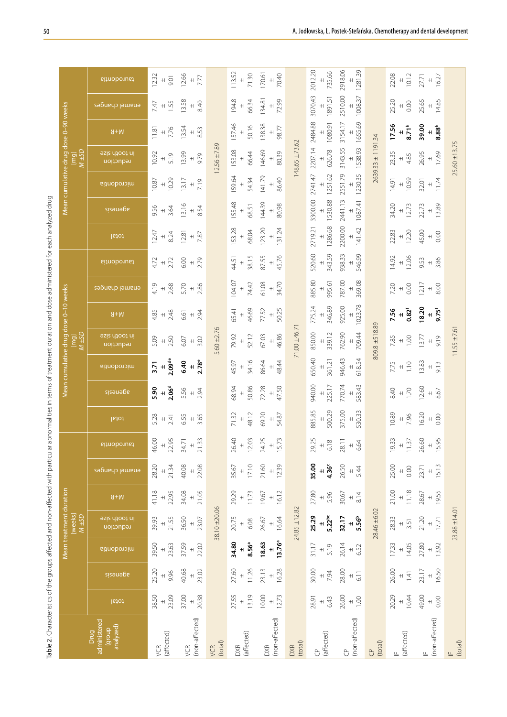| Ì<br>١                    |
|---------------------------|
| 5                         |
| i<br>j                    |
| ì<br>١                    |
|                           |
| į<br>į<br>I               |
|                           |
| Ī<br>I                    |
| ¢<br>ī                    |
| j                         |
| Ī<br>į<br>Ó<br>τ          |
| J<br>¢<br>1               |
|                           |
| Ì<br>١<br>î               |
| ׇ֓֕֡                      |
| <b>Carlos</b><br>1<br>j   |
| j<br>j                    |
| י<br>ו<br>į               |
| j                         |
|                           |
| 5<br>ī                    |
| ś<br>ć                    |
| ï                         |
| ì<br>у                    |
| ł<br>1<br>5               |
| ī                         |
| 5<br>ł                    |
| í<br>j                    |
| j                         |
| ¢<br>١                    |
| 'n<br>5                   |
| i                         |
| i                         |
|                           |
| ă                         |
| J                         |
| ξ                         |
| ₹<br>Š<br>l               |
| İ<br>1                    |
|                           |
| i                         |
| ï                         |
| í                         |
|                           |
| į                         |
| ļ                         |
|                           |
| j<br>j<br>¢               |
|                           |
|                           |
|                           |
|                           |
| ł<br>î                    |
| j                         |
| j                         |
| j                         |
| $\mathbf{I}$              |
| i<br>J                    |
| j                         |
| 5<br>Ó                    |
| į<br>ļ                    |
|                           |
|                           |
| Š                         |
| ì<br>١                    |
| ز<br>ł<br>1               |
| t<br>¢<br>Ì               |
| )                         |
| į<br>ī<br>Ī               |
| I                         |
| ł<br>١                    |
| $\ddot{\phantom{0}}$<br>1 |
| $\frac{1}{2}$             |
| ł<br>ţ                    |
|                           |
| Î<br>j                    |
| i<br>ł<br>1               |
|                           |
| リリリ<br>i<br>j<br>۱        |
|                           |
| Ī                         |
| $\frac{1}{\epsilon}$      |
|                           |
|                           |
| aroup:                    |
| l<br>֦֦֖֖֚֚֡֡֡֬֝֬         |
|                           |
|                           |
|                           |
| i<br>j                    |
|                           |
|                           |
| j                         |
| i<br>i                    |
|                           |
| ï                         |
|                           |
| Ó                         |
| I                         |
|                           |
|                           |
| I                         |

| Table 2. Characteristics of the groups affected and non-affected with particular abnormalities in terms of treatment duration and dose administered for each analyzed drug |                                          |                             |                                   |                                                  |                                          |                                          |                                                             |                                            |                                                          |                                               |                            |                                                    |                                                                      |                             |                                         |                                          |                                          |                                                     |                                                    |                                           |                                                     |
|----------------------------------------------------------------------------------------------------------------------------------------------------------------------------|------------------------------------------|-----------------------------|-----------------------------------|--------------------------------------------------|------------------------------------------|------------------------------------------|-------------------------------------------------------------|--------------------------------------------|----------------------------------------------------------|-----------------------------------------------|----------------------------|----------------------------------------------------|----------------------------------------------------------------------|-----------------------------|-----------------------------------------|------------------------------------------|------------------------------------------|-----------------------------------------------------|----------------------------------------------------|-------------------------------------------|-----------------------------------------------------|
|                                                                                                                                                                            |                                          |                             |                                   | Mean treatment duration<br>[weeks]<br>$M \pm SD$ |                                          |                                          |                                                             |                                            |                                                          |                                               | Libury<br>Visit M          | Mean cumulative drug dose 0-10 weeks               |                                                                      |                             |                                         |                                          |                                          | DG <sub>T</sub> W<br>W+SD                           | Mean cumulative drug dose 0-90 weeks               |                                           |                                                     |
| administered<br>analyzed)<br>dhoub)<br>Drug                                                                                                                                | total                                    | sizenege                    | microdontia                       | in tooth size<br>reduction                       | $M+R$                                    | enamel changes                           | taurodontia                                                 | lstot                                      | sizements                                                | microdontia                                   | in tooth size<br>reduction | $M+R$                                              | enamel changes                                                       | taurodontia                 | letot                                   | adeuesis                                 | microdontia                              | in tooth size<br>reduction                          | $H+M$                                              | enamel changes                            | taurodontia                                         |
| (affected)<br>VCR                                                                                                                                                          | 23.09<br>38.50<br>$+$                    | 25.20<br>9.96<br>$\pm$      | 39.50<br>23.63<br>$+$             | 21.55<br>39.93<br>$+$                            | 41.18<br>22.95<br>$\qquad \qquad + \mid$ | 21.34<br>28.20<br>$+$                    | $46.00$<br>$+$<br>22.95                                     | $5.28 +$<br>2.41                           | $5.90$<br>$2.06^d$                                       | $3.71$<br>$\pm 0.09$ <sup>de</sup>            | 2.50<br>5.09<br>$\bf +$    | 2.48<br>4.85<br>$^{\rm +}$                         | 2.68<br>$\frac{9}{4}$ +                                              | $4.72$<br>$+ 2.72$          | 8.24<br>12.47<br>$\qquad \qquad + \mid$ | 3.64<br>$-656$                           | 10.29<br>10.87<br>$\qquad \qquad + \mid$ | 10.92<br>5.19<br>$\overline{+}$                     | 7.76<br>11.81<br>$\left. +\right\vert$             | 1.55<br>$\frac{1}{2}$ +                   | $12.32 +$<br>9.01                                   |
| (non-affected)<br>yCR                                                                                                                                                      | 37.00<br>20.38                           | 40.68<br>23.02<br>$\bf +$   | 37.59<br>22.02<br>$+$             | 36.50<br>23.07<br>$\qquad \qquad +$              | 34.08<br>21.05<br>$\bf +$                | 40.08<br>22.08<br>$+$                    | $34.71$<br>$\pm$ 21.33                                      | 6.55<br>3.65<br>$\bf +$                    | 5.56<br>2.94                                             | $rac{1}{2.78}$<br>6.40                        | 3.02<br>6.07<br>$\bf +$    | 2.94<br>6.61<br>$\bf +$                            | 2.86<br>$5.70 +$                                                     | 2.79<br>6.00<br>$\bf +$     | 7.87<br>12.81<br>$\pm\vert$             | 13.16<br>8.54                            | 13.17<br>7.19<br>$\bf +$                 | 13.99<br>9.79<br>$\qquad \qquad + \mid$             | 13.54<br>8.53<br>$\bf +$                           | 13.58<br>8.40<br>$^{\rm +}$               | 12.66<br>7.77<br>$\qquad \qquad +$                  |
| (tota)<br>VCR                                                                                                                                                              |                                          |                             |                                   | $38.10 + 20.06$                                  |                                          |                                          |                                                             |                                            |                                                          |                                               | $5.60 \pm 2.76$            |                                                    |                                                                      |                             |                                         |                                          |                                          | $12.56 \pm 7.89$                                    |                                                    |                                           |                                                     |
| (affected)<br>DXR                                                                                                                                                          | 13.19<br>27.55<br>$+$                    | 11.26<br>27.60<br>$+$       | 34.80<br>8.56ª                    | 20.75<br>6.08<br>$+$                             | 29.29<br>11.73<br>$+$                    | 17.10<br>35.67<br>$+$                    | $26.40$<br>$+$<br>12.03                                     | 48.12<br>71.32                             | 50.86<br>68.94<br>$+$                                    | 34.16<br>45.97<br>$\bf +$                     | 52.12<br>79.92<br>$+$      | 46.69<br>65.41<br>$+$                              | 104.07<br>74.42<br>$+$                                               | 38.15<br>44.51<br>$+$       | 153.28<br>68.04<br>$+$                  | 155.48<br>68.51<br>$+$                   | 159.64<br>54.34<br>$+$                   | 153.08<br>66.44<br>$+$                              | 157.46<br>50.16<br>$\overline{+}$                  | 194.8<br>66.34<br>$+$                     | $\begin{array}{c} 113.52 \\ + \end{array}$<br>71.30 |
| (non-affected)<br>DXR                                                                                                                                                      | 10.00<br>12.73<br>$\qquad \qquad + \mid$ | 16.28<br>23.13<br>$+$       | 13.76ª<br>18.63<br>$+$            | 16.64<br>26.67                                   | 16.12<br>19.67<br>$\bf +$                | 21.60<br>12.39<br>$+$                    | 24.25<br>$+ 5.73$                                           | 69.20<br>$+87$                             | 72.28<br>$\begin{array}{c}\n+1.50 \\ +7.50\n\end{array}$ | 86.64<br>$rac{48.44}{4}$                      | 67.03<br>$+886$            | $\begin{array}{c} + \\ 50.25 \end{array}$<br>77.52 | $+34.70$<br>61.08                                                    | $\frac{1}{45.76}$<br>87.55  | 123.20<br>$\frac{131.24}{ }$            | 144.39<br>80.98<br>$\left. +\right\vert$ | 141.79<br>86.40<br>$\ddot{+}$            | 146.69<br>$\begin{array}{c} + \\ 80.39 \end{array}$ | 138.38<br>98.77<br>$\qquad \qquad + \mid$          | 72.99<br>134.81<br>$\qquad \qquad + \mid$ | 70.40<br>170.61<br>$+$                              |
| (total)<br><b>DXR</b>                                                                                                                                                      |                                          |                             |                                   | $24.85 \pm 12.82$                                |                                          |                                          |                                                             |                                            |                                                          |                                               | $71.00 \pm 46.7$           |                                                    |                                                                      |                             |                                         |                                          |                                          | $148.65 \pm 73.62$                                  |                                                    |                                           |                                                     |
| (affected)<br>$\overline{C}$                                                                                                                                               | 28.91<br>6.43<br>$+$                     | 30.00<br>7.94               | 31.17<br>5.19                     | $5.22^{bc}$<br>25.29                             | 27.80<br>5.96<br>$+$                     | 35.00<br>4.36<br>$+1$                    | 29.25<br>$6.18$<br>$+$                                      | 500.29<br>885.85<br>$\qquad \qquad + \mid$ | 225.17<br>940.00<br>$\bf +$                              | 650.40<br>361.21                              | 339.12<br>850.00<br>$+1$   | 346.89<br>775.24                                   | 885.80<br>995.61<br>$\qquad \qquad +$                                | 343.59<br>520.60            | 1286.68<br>2719.21                      | 1530.88<br>3300.00                       | 1251.62<br>2741.47                       | 2207.14<br>626.78                                   | 2484.88<br>1080.91                                 | 3070.43<br>1891.51                        | 2012.20<br>735.66                                   |
| (non-affected)<br>$\bigodot$                                                                                                                                               | 26.00<br>1.00<br>$+$                     | 28.00<br>6.11<br>$\bf +$    | 26.14<br>6.52<br>$\boldsymbol{+}$ | 5.56 <sup>b</sup><br>32.17<br>$+$                | 30.67<br>8.14<br>$\bf +$                 | 26.50<br>5.44<br>$\pm$                   | 28.11<br>$+ 69$                                             | 375.00<br>530.33<br>$\qquad \qquad +$      | $+83.43$<br>770.74                                       | 946.43<br>$\frac{1}{618.54}$                  | 709.44<br>762.90<br>$+$    | 1023.78<br>925.00<br>$+$                           | 787.00<br>369.08<br>$+$                                              | 546.99<br>938.33<br>$\pm\,$ | 2200.00<br>141.42<br>$\pm$              | 2441.13<br>1087.41<br>$+$                | 2551.79<br>1230.35<br>$\pm\,$            | 3143.55<br>1538.93<br>$\pm\,$                       | 1655.69<br>3154.17                                 | 2510.00<br>1008.37                        | 2918.06<br>1281.39                                  |
| (tota)<br>$\overline{C}$                                                                                                                                                   |                                          |                             |                                   | 28.46 ±6.02                                      |                                          |                                          |                                                             |                                            |                                                          |                                               | 809.8 ±518.89              |                                                    |                                                                      |                             |                                         |                                          |                                          | $2639.33 \pm 1191.34$                               |                                                    |                                           |                                                     |
| (affected)<br>$\equiv$                                                                                                                                                     | 20.29<br>10.44<br>$\qquad \qquad + \mid$ | 26.00<br>141                | 14.05<br>17.33                    | 28.33<br>3.51<br>$\bf +$                         | 11.18<br>21.00<br>$\overline{+}$         | 25.00<br>0.00<br>$+$                     | 9.33<br>$\begin{array}{c}\n+37 \\ \hline\n137\n\end{array}$ | 10.89<br>$+1,86$                           | $6.40$<br>$+ 1.70$                                       | $\stackrel{\frown}{\phantom{}_{1.1}}$<br>7.75 | $7.85$<br>+ 0.00           | $7.56$<br>$+ 0.82$ <sup>1</sup>                    | $_{+0.00}^{\, +0.00}$<br>7.20                                        | $+ 0.06$<br>14.92           | 12.20<br>22.83<br>$\overline{+}$        | 34.20<br>$+ 2.73$                        | $+59$<br>14.91                           | 23.35<br>$+4.85$                                    | 17.56<br>$+5.5$                                    | 25.20<br>0.00<br>$\ddot{}$                | $22.08$<br>$+ 0.12$                                 |
| (non-affected)<br>$\sqsubseteq$                                                                                                                                            | 49.00<br>0.00<br>$+$                     | $^{+6.50}_{-6.50}$<br>23.17 | 27.80<br>13.92                    | 21.20<br>17.71<br>$\boldsymbol{+}\boldsymbol{ }$ | $+9.55$<br>28.67                         | 15.13<br>23.71<br>$\qquad \qquad + \mid$ | 26.60<br>$+5.95$                                            | 16.20<br>$_{+1.5}^{\ }$ 80 $\,$            | 12.60<br>$+8.67$                                         | 13.83<br>$+\frac{3}{2}$                       | 13.77<br>$+1\frac{6}{9}$   | $18.20$<br>$\pm .5$                                | 12.17<br>$_{+\mathrm{I}}^{\mathrm{+}}\mathrm{_{\odot}^{\mathrm{O}}}$ | $+86$<br>9.53               | 45.00<br>$_{+}^{\ }$ 8.                 | $+1\frac{89}{2}$<br>22.73                | $+1.74$<br>32.01                         | 26.95<br>$^{+0.00}$                                 | 39.00<br>$\begin{array}{c} +\\ 8.88\\ \end{array}$ | 25.65<br>14.85<br>$+$                     | $27.71$<br>$+$<br>$16.27$                           |
| [For the image]                                                                                                                                                            |                                          |                             |                                   | $23.88 \pm 14.01$                                |                                          |                                          |                                                             |                                            |                                                          |                                               | $11.55 \pm 7.61$           |                                                    |                                                                      |                             |                                         |                                          |                                          | $25.60 \pm 13.75$                                   |                                                    |                                           |                                                     |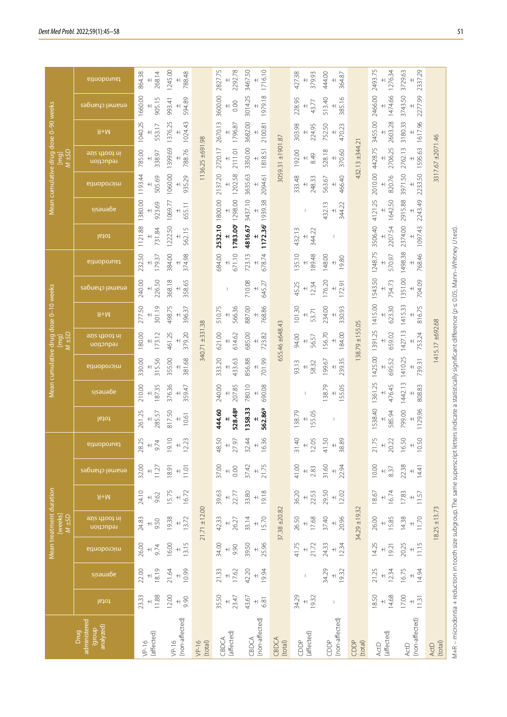|                                             |                              |                             |                                  | Mean treatment duration<br>[weeks]<br>$\overline{M \pm SD}$ |                                          |                              |                             |                         |                                             |                         | $M \pm SD$<br>$\overline{p}$      | Mean cumulative drug dose 0-10 weeks |                               |                                             |                                |                         |                    | $M \pm SD$<br>ia<br>E              | Mean cumulative drug dose 0-90 weeks |                            |                         |
|---------------------------------------------|------------------------------|-----------------------------|----------------------------------|-------------------------------------------------------------|------------------------------------------|------------------------------|-----------------------------|-------------------------|---------------------------------------------|-------------------------|-----------------------------------|--------------------------------------|-------------------------------|---------------------------------------------|--------------------------------|-------------------------|--------------------|------------------------------------|--------------------------------------|----------------------------|-------------------------|
| administered<br>analyzed)<br>dhoub)<br>Drug | total                        | sizeuege                    | microdontia                      | in toofh size<br>reduction                                  | $W+R$                                    | enamel changes               | taurodontia                 | total                   | zizenega                                    | microdontia             | in tooth size<br>reduction        | $W+R$                                | enanel changes                | taurodontia                                 | letot                          | sizeuege                | microdontia        | in tooth size<br>reduction         | $W+R$                                | enanel changes             | taurodontia             |
| (affected)<br>$VP-16$                       | 11.88<br>23.33<br>$+$        | 18.19<br>22.00<br>$+$       | 26.00<br>9.74<br>$+$             | 24.83<br>9.50<br>$+$                                        | 24.10<br>9.62<br>$\ddot{}$               | 32.00<br>11.27<br>$+$        | 28.25<br>9.74<br>$+$        | 261.25<br>285.57<br>$+$ | 210.00<br>187.35<br>$+1$                    | 315.56<br>330.00<br>$+$ | 180.00<br>173.12<br>$+$           | 301.19<br>277.50<br>$\ddot{}$        | 226.50<br>240.00<br>$\ddot{}$ | 179.37<br>232.50<br>$+$                     | 1121.88<br>731.84              | 1380.00<br>923.69       | 1193.44<br>505.69  | 785.00<br>338.97<br>$+$            | 1040.25<br>553.17<br>$\ddot{}$       | 1660.00<br>905.15<br>$+$   | 268.14<br>864.38        |
| (non-affected)<br>$VP-16$                   | 12.00<br>9.90<br>$\ddot{+}$  | 10.99<br>21.64<br>$+$       | 13.15<br>16.00<br>$+$            | 19.38<br>13.72<br>$\! +$                                    | 16.72<br>15.75<br>$+$                    | 18.91<br>11.01<br>$+$        | 19.10<br>12.23<br>$+$       | 817.50<br>10.61<br>$+$  | 376.36<br>359.47<br>$\ddot{+}$              | 355.00<br>381.68<br>$+$ | 461.25<br>379.20<br>$+$           | 498.75<br>396.37<br>$+$              | 368.18<br>358.65<br>$\pm$     | 384.00<br>374.98<br>$+$                     | 1222.50<br>562.15<br>$\ddot{}$ | 1069.77<br>655.11       | 1060.00<br>935.29  | 1399.69<br>788.76                  | 1376.25<br>1024.43                   | 594.89<br>993.41           | 1245.00<br>788.48       |
| $VP-16$<br>(total)                          |                              |                             |                                  | $21.71 \pm 12.00$                                           |                                          |                              |                             |                         |                                             |                         | 340.71 ±331.38                    |                                      |                               |                                             |                                |                         |                    | 1136.25 ±691.98                    |                                      |                            |                         |
| (affected)<br>CBDCA                         | 35.50<br>23.47<br>$+$        | 21.33<br>17.62<br>$+$       | 34.00<br>9.90<br>$\ddot{+}$      | 42.33<br>26.27<br>$+$                                       | 39.63<br>22.77<br>$+$                    | 37.00<br>0.00<br>$+$         | 48.50<br>27.97<br>$+$       | 528.489<br>444.60       | 207.85<br>240.00                            | 333.20<br>433.63<br>$+$ | 621.00<br>614.62                  | 566.36<br>510.75                     |                               | 671.10<br>684.00                            | 2532.10 1800.00<br>1783.00     | 1298.00                 | 2137.20<br>1202.58 | 2111.01<br>2720.17                 | 2670.13<br>1796.87                   | 3600.00<br>0.00            | 2827.75<br>2292.78      |
| (non-affected)<br>CBDCA                     | 43.67<br>6.81<br>$+$         | 42.20<br>19.94<br>$+$       | 39.50<br>25.96<br>$\ddot{+}$     | 33.14<br>15.70<br>$+$                                       | 19.18<br>33.80<br>$+$                    | 21.75<br>37.42<br>$\ddot{+}$ | 16.36<br>32.44<br>$+$       | 1358.33<br>562.869      | 780.10<br>690.08                            | 701.99<br>856.88<br>$+$ | 685.00<br>723.82<br>$+$           | 887.00<br>768.86<br>$+$              | 710.08<br>645.27<br>$\pm$     | 678.74<br>723.13<br>$\overline{+}$          | 1172.36 1939.38<br>4816.67     | 3437.10                 | 3635.63<br>2094.61 | 3350.00<br>1818.51                 | 3682.00<br>2100.81                   | 1979.18<br>3014.25         | 3467.50<br>1716.10      |
| CBDCA<br>(total)                            |                              |                             |                                  | $37.38 + 20.82$                                             |                                          |                              |                             |                         |                                             |                         | 655.46 ±648.43                    |                                      |                               |                                             |                                |                         |                    | 3059.31 ±1901.87                   |                                      |                            |                         |
| (affected)<br>CDDP                          | 34.29<br>19.32<br>$+$        | I                           | 41.75<br>21.72<br>$+$            | 26.50<br>17.68<br>$+$                                       | 36.20<br>22.53<br>$\pm$                  | 41.00<br>2.83<br>$+$         | 31.40<br>12.05<br>$+$       | 138.79<br>155.05<br>$+$ |                                             | 93.13<br>58.32<br>$+$   | 94.00<br>56.57<br>$\ddot{}$       | 101.30<br>53.71<br>$+$               | 12.34<br>45.25<br>$\ddot{}$   | 189.48<br>135.10<br>$+$                     | 344.22<br>432.13<br>$+$        |                         | 333.48<br>248.33   | 192.00<br>8.49                     | 303.98<br>224.95<br>$\ddot{}$        | 228.95<br>43.77<br>$+$     | 427.38<br>379.93<br>$+$ |
| (non-affected)<br>CDDP                      | $\vert$                      | 34.29<br>19.32<br>$+$       | 12.34<br>24.33<br>$\ddot{+}$     | 37.40<br>20.96<br>$+$                                       | 29.50<br>12.02<br>$+$                    | 31.60<br>22.94<br>$+$        | 38.89<br>41.50<br>$\ddot{}$ | $\vert$                 | 138.79<br>155.05                            | 239.35<br>199.67        | 184.00<br>156.70                  | 234.00<br>330.93                     | 176.20<br>172.91<br>$+$       | 148.00<br>19.80<br>$+$                      | $\vert$                        | 344.22<br>432.13<br>$+$ | 466.40<br>563.67   | 370.60<br>528.18                   | 752.50<br>470.23                     | 513.40<br>385.16           | 444.00<br>364.87        |
| CDDP<br>(tota)                              |                              |                             |                                  | 34.29±19.32                                                 |                                          |                              |                             |                         |                                             |                         | 138.79 ±155.05                    |                                      |                               |                                             |                                |                         |                    | 432.13 ±344.21                     |                                      |                            |                         |
| (affected)<br>ActD                          | 18.50<br>14.68<br>$\ddot{+}$ | 21.25<br>12.34<br>$\ddot{}$ | 14.25<br>19.21<br>$\overline{+}$ | 26.00<br>15.85<br>$+$                                       | 16.74<br>18.67<br>$\qquad \qquad + \mid$ | 10.00<br>8.37<br>$\ddot{}$   | 21.75<br>20.22<br>$+$       | 1538.40<br>585.94       | 1361.25<br>476.45<br>$\qquad \qquad + \mid$ | 695.52                  | 1425.00 1391.25 1415.00<br>659.02 | 623.30<br>$\pm$                      | 1543.50<br>754.73<br>$\pm$    | 1248.75<br>570.97<br>$\qquad \qquad + \mid$ | 2207.54<br>3506.40             | 4121.25<br>1642.50      | 820.76             | 2010.00 4428.75 3455.00<br>2706.25 | 2603.28                              | 2466.00 2493.75<br>1474.66 | 1276.34                 |
| (non-affected)<br>ActD                      | 17.00<br>11.31<br>$+$        | 16.75<br>14.94<br>$+$       | 11.15<br>20.25<br>$+$            | 11.70<br>14.38<br>$+$                                       | 17.83<br>11.57<br>$\bf +$                | 22.38<br>14.41<br>$\ddot{}$  | 16.50<br>10.50<br>$\pm$     | 1129.96<br>799.00       | 1442.13<br>808.83                           | 1410.25<br>739.31       | 1427.13<br>753.24                 | 1415.33<br>816.75                    | 1351.00<br>704.09             | 1498.38<br>768.46                           | 2374.00<br>1097.43             | 2243.49<br>2915.88      | 3971.50<br>2233.50 | 2762.13<br>1595.63                 | 1617.96<br>3180.33                   | 2277.99<br>3743.50         | 3729.63<br>2337.29      |
| (tota)<br><b>ActD</b>                       |                              |                             |                                  | $18.25 \pm 13.73$                                           |                                          |                              |                             |                         |                                             |                         | 1415.17 ±692.68                   |                                      |                               |                                             |                                |                         |                    | 3317.67 ±2071.46                   |                                      |                            |                         |
|                                             |                              |                             |                                  |                                                             |                                          |                              |                             |                         |                                             |                         |                                   |                                      |                               |                                             |                                |                         |                    |                                    |                                      |                            |                         |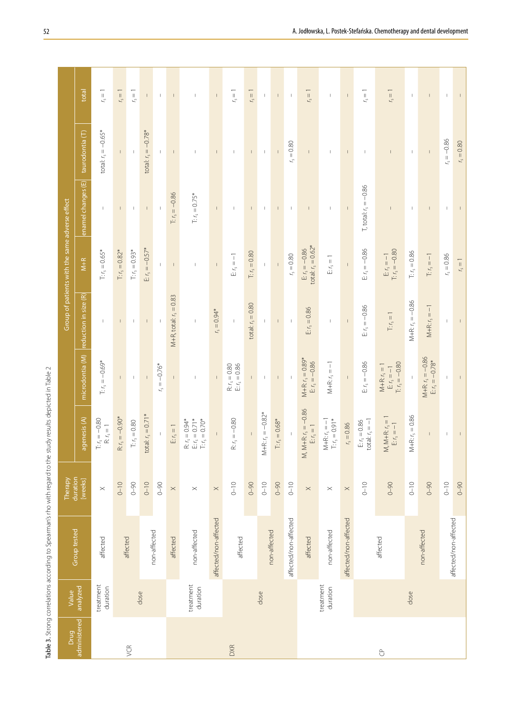| $\overline{a}$<br>$\frac{1}{2}$<br>I                  |
|-------------------------------------------------------|
| ì                                                     |
| ۱<br>į<br>í,<br>۔<br>دم<br>J                          |
| ī<br>5<br>ï<br>j                                      |
| 5<br>i<br>í<br>$\ddot{\phantom{a}}$<br>j              |
| ļ<br>S<br>ś<br>,                                      |
| į<br>J<br>1<br>!<br>¢                                 |
| í                                                     |
| 1<br>$\frac{5}{1}$<br>¢<br>j<br>Ì<br>j<br>١<br>í<br>j |
| ś                                                     |
| ţ<br>$\frac{1}{2}$                                    |
| l<br>¢<br>$\ddot{\phantom{0}}$<br>j                   |
| ï                                                     |
| $\frac{1}{2}$<br>)                                    |
| j<br>י<br>¢<br>j<br>I<br>j<br>ţ<br>j<br>¢             |
| j<br>j<br>i<br>i                                      |
| <b>.</b><br>ĵ<br>J                                    |
| j<br>١<br>١<br>ł<br>ţ<br>Í<br>١                       |
| ن<br>م<br>j<br>: عاط<br>ڇ                             |
|                                                       |

|                |                       | Table 3. Strong correlations according to Spearman's rho with regard to the study results depicted in Table 2 |                       |                                                                |                                                                         |                                  |                                                |                                |                          |                          |
|----------------|-----------------------|---------------------------------------------------------------------------------------------------------------|-----------------------|----------------------------------------------------------------|-------------------------------------------------------------------------|----------------------------------|------------------------------------------------|--------------------------------|--------------------------|--------------------------|
| Drug           | Value                 |                                                                                                               | Therapy               |                                                                |                                                                         |                                  | Group of patients with the same adverse effect |                                |                          |                          |
| administered   | analyzed              | Group tested                                                                                                  | duration<br>[weeks]   | agenesis (A)                                                   | microdontia (M)                                                         | reduction in size (R)            | $\overline{M+R}$                               | enamel changes (E)             | taurodontia (T)          | total                    |
|                | treatment<br>duration | affected                                                                                                      | $\boldsymbol{\times}$ | $T: r_s = -0.80$<br>$\mathsf{R}\colon \mathsf{r}_\mathsf{S}=1$ | $T: r_s = -0.69*$                                                       | $\mathbf{I}$                     | $Tr r_s = 0.65*$                               | $\mathbf{I}$                   | total: $r_s = -0.65*$    | $r_{\rm s}=1$            |
|                |                       |                                                                                                               | $0 - 10$              | $= -0.90*$<br>$\mathbf{R}$ $\mathbf{r}_\mathrm{s}$             | $\mathsf{L}$                                                            | $\mathsf I$                      | $T: r_s = 0.82*$                               | $\mathbf{I}$                   | $\mathsf{L}$             | $r_s = 1$                |
| VCR            |                       | affected                                                                                                      | $0 - 90$              | $\mathbb{T}$ : $t_\mathrm{S}=0.80$                             | $\mathsf I$                                                             | $\mathsf I$                      | $T: r_s = 0.93*$                               | $\mathbb{I}$                   | $\mathbf{I}$             | $r_{\rm s}=1$            |
|                | dose                  |                                                                                                               | $0 - 10$              | total: $r_s = 0.71*$                                           | $\mathsf I$                                                             |                                  | $E: r_s = -0.57*$                              |                                | total: $r_s = -0.78*$    | $\mathbf{I}$             |
|                |                       | non-affected                                                                                                  | $0 - 90$              | $\bar{\rm I}$                                                  | $r_{\rm s} = -0.76*$                                                    | $\mathbb{I}$                     | $\mathbb I$                                    | $\mathbb{I}$                   | $\mathbb I$              | $\mathbf{I}$             |
|                |                       | affected                                                                                                      | $\times$              | $\mathbb{E}\, r_{\rm s} = 1$                                   | $\mathsf I$                                                             | M+R, total: $r_s = 0.83$         | $\mathbb{I}$                                   | $T: r_s = -0.86$               | $\mathsf I$              | $\mathsf I$              |
|                | treatment<br>duration | non-affected                                                                                                  | $\! \times$           | $R: r_s = 0.94*$<br>$E: r_s = 0.71*$<br>$T: r_s = 0.70*$       | $\mathbb{I}$                                                            | $\mathsf I$                      | $\mathbb{I}$                                   | $T: r_s = 0.75*$               | $\mathbf{I}$             | $\overline{\phantom{a}}$ |
|                |                       | affected/non-affected                                                                                         | $\times$              | $\bar{1}$                                                      | $\overline{\phantom{a}}$                                                | $r_s = 0.94*$                    | $\mathsf{L}$                                   | $\bar{\Gamma}$                 | $\mathsf{L}$             | $\mathsf{L}$             |
| <b>DXR</b>     |                       | affected                                                                                                      | $0 - 10$              | $R: r_s = -0.80$                                               | $R: r_s = 0.80$<br>E: $r_s = 0.86$                                      | $\mathbb{I}$                     | $E r_s = -1$                                   | $\mathbf{I}$                   | $\mathbb T$              | $t_{\rm s}=1$            |
|                |                       |                                                                                                               | $0 - 90$              | $\mathsf I$                                                    | $\mathsf{L}$                                                            | total: $r_s = 0.80$              | $T: r_s = 0.80$                                | $\top$                         | $\mathsf{I}$             | $r_s = 1$                |
|                | dose                  |                                                                                                               | $0 - 10$              | $M + R: r_s = -0.82*$                                          | $\mathsf I$                                                             | $\overline{\phantom{a}}$         | $\mathsf I$                                    | $\overline{\phantom{a}}$       | $\overline{\phantom{a}}$ | $\overline{\phantom{a}}$ |
|                |                       | non-affected                                                                                                  | $0 - 90$              | $T: r_s = 0.68*$                                               | $\mathsf I$                                                             | $\mathsf I$                      | $\bar{1}$                                      | $\mathsf I$                    |                          | $\mathsf I$              |
|                |                       | affected/non-affected                                                                                         | $0 - 10$              |                                                                | $\mathbb{I}$                                                            | $\mathsf I$                      | $r_{\rm s}=0.80$                               | $\mathsf I$                    | $r_{\rm s}=0.80$         | $\mathsf I$              |
|                |                       | affected                                                                                                      | $\times$              | $M, M+R: r_s = -0.86$<br>$\mathbb{E}\, r_{\rm s}$ = 1          | $M + R: r_s = 0.89*$<br>$E: r_s = -0.86$                                | $E: r_s = 0.86$                  | total: $r_s = 0.62*$<br>$E: r_s = -0.86$       | $\mathsf I$                    | $\mathsf I$              | $r_s = 1$                |
|                | treatment<br>duration | non-affected                                                                                                  | $\times$              | $M + R$ : $r_s = -1$<br>T: $r_s = 0.91*$                       | $M + R: r_s = -1$                                                       | $\mathsf I$                      | $\mathbb{E} \, r_{\rm s} = 1$                  | $\mathsf I$                    | $\mathsf I$              | $\overline{\phantom{a}}$ |
|                |                       | affected/non-affected                                                                                         | $\times$              | $= 0.86$<br>$\zeta$                                            | $\mathbb{I}$                                                            | $\mathsf I$                      | $\mathsf I$                                    | $\mathsf I$                    | $\mathsf I$              | $\mathsf I$              |
|                |                       |                                                                                                               | $0 - 10$              | E: $r_s = 0.86$<br>total: $r_s = -1$                           | $E: r_s = -0.86$                                                        | $E r_s = -0.86$                  | $E: r_s = -0.86$                               | $T, \text{total}: r_s = -0.86$ | $\mathbb{I}$             | $r_{\rm s}=1$            |
| $\overline{C}$ |                       | affected                                                                                                      | $0 - 90$              | M, M+R: $r_s = 1$<br>E: $r_s = -1$                             | $T: r_s = -0.80$<br>$M+R: r_s = 1$<br>$\mathbb{E}[t_{\text{s}}\!=\!-1]$ | $\mathbb{T}; r_{\mathsf{s}} = 1$ | E: $r_s = -1$<br>T: $r_s = -0.80$              | $\mathbf{I}$                   | $\mathsf I$              | $r_s = 1$                |
|                | dose                  |                                                                                                               | $0 - 10$              | $M + R: r_s = 0.86$                                            | $\begin{array}{c} \hline \end{array}$                                   | $M + R: r_s = -0.86$             | $T: r_s = 0.86$                                | $\mathbf{I}$                   | $\overline{\phantom{a}}$ | $\mathbf{I}$             |
|                |                       | non-affected                                                                                                  | $0 - 90$              | $\mathsf I$                                                    | $M + R: r_s = -0.86$<br>$E: r_s = -0.78*$                               | $M + R: r_s = -1$                | $\Gamma$ $r_{\rm s}=-1$                        | $\mathsf I$                    | $\mathsf I$              | $\mathsf I$              |
|                |                       | affected/non-affected                                                                                         | $0 - 10$              | $\mathsf I$                                                    | $\mathbb{I}$                                                            | $\mathbb{I}$                     | $r_{5} = 0.86$                                 | $\mathbb{I}$                   | $r_{s} = -0.86$          | $\mathbb{I}$             |
|                |                       |                                                                                                               | $0 - 90$              | $\mathsf I$                                                    | $\mathsf I$                                                             | $\mathsf{I}$                     | $r_s = 1$                                      |                                | $r_s = 0.80$             | $\mathsf I$              |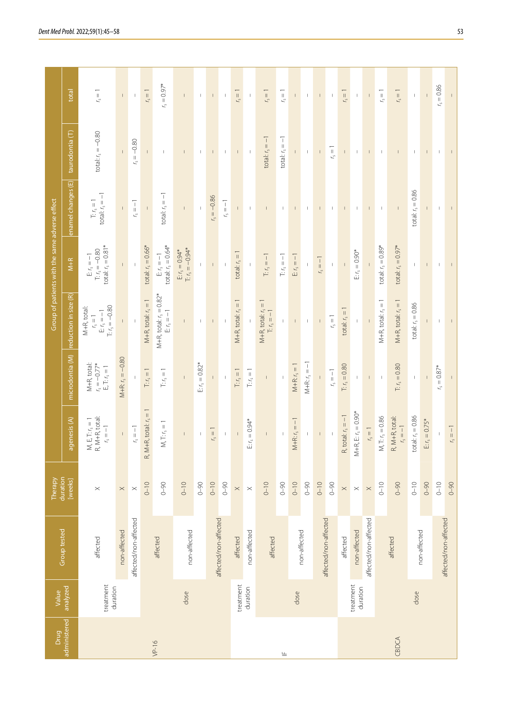| Drug         | Value                 |                       | Therapy               |                                                    |                                                                                              |                                                                               | Group of patients with the same adverse effect                  |                                   |                       |                |
|--------------|-----------------------|-----------------------|-----------------------|----------------------------------------------------|----------------------------------------------------------------------------------------------|-------------------------------------------------------------------------------|-----------------------------------------------------------------|-----------------------------------|-----------------------|----------------|
| administered | analyzed              | Group tested          | duration<br>[weeks]   | agenesis (A)                                       | microdontia (M)                                                                              | reduction in size (R)                                                         | $M+R$                                                           | enamel changes (E)                | taurodontia (T)       | total          |
|              | treatment<br>duration | affected              | $\times$              | $M, E, T: r_s = 1$<br>R, M+R, total:<br>$r_s = -1$ | M+R, total:<br>$r_s = -0.77$ <sup>*</sup><br>$\mathsf{E},\mathsf{T};\mathsf{r}_\mathsf{S}=1$ | $T: r_s = -0.80$<br>M+R, total:<br>$\mathbb{E}\, r_{\rm s}=-1$<br>$r_{s} = 1$ | total: $r_s = 0.81*$<br>$T: r_s = -0.80$<br>$E_1 r_s = -1$      | total: $r_s = -1$<br>$T: r_s = 1$ | $total: r_s = -0.80$  | $t_{\rm s}=1$  |
|              |                       | non-affected          | $\times$              | $\frac{1}{\sqrt{2}}$                               | $M + R$ : $r_s = -0.80$                                                                      | Ē.                                                                            | $\mathsf I$                                                     |                                   |                       | $\mathsf I$    |
|              |                       | affected/non-affected | $\boldsymbol{\times}$ | $\mathfrak{f}_\mathsf{S}=-1$                       | $\mathbf{I}$                                                                                 | $\mathsf I$                                                                   |                                                                 | $\mathfrak{r}_\mathfrak{s}=-1$    | $r_{s} = -0.80$       | $\mathsf I$    |
|              |                       |                       | $0 - 10$              | $R, M+R, total: r_s = 1$                           | $T: r_s = 1$                                                                                 | $M + R$ , total: $r_s = 1$                                                    | total: $r_s = 0.66*$                                            | $\mathsf I$                       | $\mathbb{L}$          | $r_s = 1$      |
| $VP-16$      |                       | affected              | $0 - 90$              | $M, T: r_s = 1$                                    | $\mathbb{T};$ $t_\mathrm{S}=1$                                                               | $M + R$ , total: $r_s = 0.82$ <sup>*</sup><br>$\mathbb{E} \, r_{\rm s} = -1$  | total: $r_s = 0.64*$<br>$\mathbb{E} \, \iota_{\mathsf{S}} = -1$ | total: $r_s = -1$                 | $\mathsf I$           | $r_s = 0.97*$  |
|              | dose                  | non-affected          | $0 - 10$              | $\mathsf I$                                        | $\overline{1}$                                                                               | $\mathsf{L}$                                                                  | $T: r_s = -0.94*$<br>$E: r_s = 0.94*$                           | $\mathsf I$                       | $\mathsf I$           | $\mathsf{L}$   |
|              |                       |                       | $0 - 90$              | $\mathsf I$                                        | $E: r_s = 0.82*$                                                                             | $\mathsf I$                                                                   | $\mathsf{L}$                                                    | $\mathsf I$                       | $\mathbb{L}$          | $\mathsf I$    |
|              |                       | affected/non-affected | $0 - 10$              | $r_s = 1$                                          | $\mathsf I$                                                                                  | $\mathsf I$                                                                   | $\bullet$                                                       | $r_s = -0.86$                     | $\mathbb{L}$          | $\bullet$      |
|              |                       |                       | $0 - 90$              | $\mathsf I$                                        | $\mathbb{I}$                                                                                 |                                                                               | $\,$ $\,$                                                       | $r_{\rm s}=-1$                    | $\mathbf{I}$          | $\mathsf I$    |
|              | treatment             | affected              | $\boldsymbol{\times}$ |                                                    | $T: r_s = 1$                                                                                 | $M+R$ , total: $r_s = 1$                                                      | total: $r_s = 1$                                                |                                   | т                     | $r_s = 1$      |
|              | duration              | non-affected          | $\times$              | $\Xi$ : $r_s = 0.94$ *                             | $\Gamma$ $r_{\rm s}=1$                                                                       |                                                                               | $\mathsf I$                                                     | $\mathsf I$                       | $\mathsf I$           | $\mathsf I$    |
|              |                       | affected              | $0 - 10$              | $\mathbb{L}$                                       | $\mathsf I$                                                                                  | $M+R$ , total: $r_s =$<br>$T: r_s = -1$                                       | $T: r_s = -1$                                                   | $\mathsf{I}$                      | $total: r_s = -1$     | $r_s = 1$      |
| 亗            |                       |                       | $0 - 90$              |                                                    |                                                                                              | $\mathsf{L}$                                                                  | $\mathbb{T}; r_{\mathsf{s}} = -1$                               | $\mathbf{I}$                      | total: $r_s = -1$     | $t_{\rm s}=1$  |
|              | dose                  | non-affected          | $0 - 10$              | $M + R: r_s = -1$                                  | $M + R: r_s = 1$                                                                             | $\mathsf{L}$                                                                  | $E r_s = -1$                                                    |                                   | $\mathbb{L}$          | $\bar{\Gamma}$ |
|              |                       |                       | $0 - 90$              | $\mathsf I$                                        | $M + R: r_s = -1$                                                                            | $\mathbb{I}$                                                                  | $\mathbb{I}$                                                    | $\mathsf I$                       | $\mathsf I$           | $\mathsf I$    |
|              |                       | affected/non-affected | $0 - 10$              |                                                    |                                                                                              | $\overline{\phantom{a}}$                                                      | $rs = -1$                                                       |                                   | $\mathsf I$           |                |
|              |                       |                       | $0 - 90$              | $\mathsf I$                                        | $r_{\rm s}=-1$                                                                               | $r_{s} = 1$                                                                   | $\mathbb{I}$                                                    | L                                 | $\zeta = 1$           | $\mathbf{I}$   |
|              |                       | affected              | $\times$              | R, total: $r_s = -1$                               | $T: r_s = 0.80$                                                                              | total: $r_s = 1$                                                              |                                                                 | $\mathsf I$                       | $\mathbb{F}^{\times}$ | $r_s = 1$      |
|              | treatment<br>duration | non-affected          | $\times$              | $M + R$ , E: $r_s = 0.90$ *                        | $\vert$                                                                                      | $\mathsf I$                                                                   | $E: r_s = 0.90*$                                                | $\mid$                            | $\mathbf{I}$          | $\mathsf I$    |
|              |                       | affected/non-affected | $\boldsymbol{\times}$ | $r_s = 1$                                          | $\overline{\phantom{a}}$                                                                     |                                                                               |                                                                 |                                   | $\mathsf I$           | $\,$ $\,$      |
|              |                       |                       | $0 - 10$              | M, T: $r_s = 0.86$                                 | $\overline{\phantom{a}}$                                                                     | $M+R$ , total: $r_s =$                                                        | total: $r_s = 0.89*$                                            | $\overline{\phantom{a}}$          | $\mathbf{I}$          | $t_{\rm s}=1$  |
| CBDCA        |                       | affected              | $0 - 90$              | R, M+R, total:<br>$r_{s} = -1$                     | $T: r_s = 0.80$                                                                              | $M+R$ , total: $r_s =$                                                        | total: $r_s = 0.97*$                                            |                                   | $\mathsf I$           | $r_s = 1$      |
|              | dose                  | non-affected          | $0 - 10$              | total: $r_s = 0.86$                                |                                                                                              | total: $r_s = 0.86$                                                           |                                                                 | total: $r_s = 0.86$               | $\mathbb{I}$          | $\mathbb T$    |
|              |                       |                       | $0 - 90$              | $E: r_s = 0.75*$                                   |                                                                                              | $\mathsf{I}$                                                                  | $\mathsf{I}$                                                    | $\mathsf{I}$                      | $\mathbb{F}^{\times}$ | $\bar{1}$      |
|              |                       | affected/non-affected | $0 - 10$              |                                                    | $r_s = 0.87*$                                                                                | $\mathsf I$                                                                   | $\mathsf I$                                                     | $\mathsf I$                       | $\mathsf I$           | $r_{s} = 0.86$ |
|              |                       |                       | $0 - 90$              | $r_{\rm s}=-1$                                     |                                                                                              | $\mathbf{I}$                                                                  | $\mathsf I$                                                     | $\mathsf I$                       |                       |                |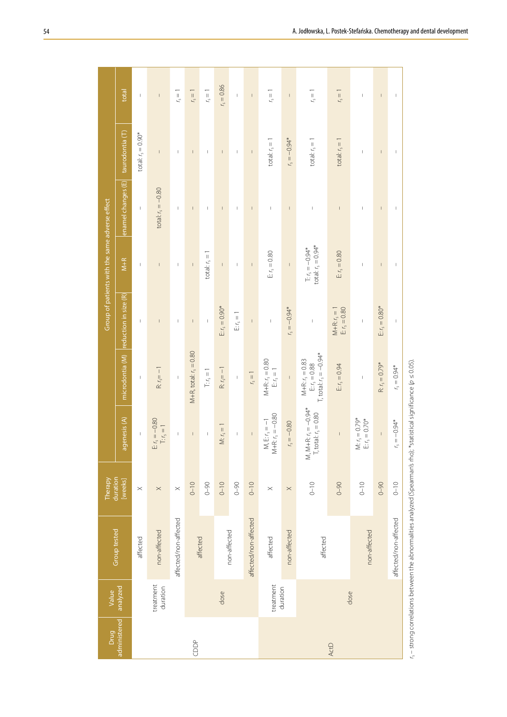| enamel changes (E)<br>total: $r_s = -0.80$<br>$\ensuremath{\mathsf{I}}$<br>$\mathsf I$<br>$\begin{array}{c} \rule{0pt}{2ex} \rule{0pt}{2ex} \rule{0pt}{2ex} \rule{0pt}{2ex} \rule{0pt}{2ex} \rule{0pt}{2ex} \rule{0pt}{2ex} \rule{0pt}{2ex} \rule{0pt}{2ex} \rule{0pt}{2ex} \rule{0pt}{2ex} \rule{0pt}{2ex} \rule{0pt}{2ex} \rule{0pt}{2ex} \rule{0pt}{2ex} \rule{0pt}{2ex} \rule{0pt}{2ex} \rule{0pt}{2ex} \rule{0pt}{2ex} \rule{0pt}{2ex} \rule{0pt}{2ex} \rule{0pt}{2ex} \rule{0pt}{2ex} \rule{0pt}{$<br>$\sf I$<br>$\mathsf I$<br>$\mathsf I$<br>$\mathsf I$<br>$\overline{1}$<br>$\vert$<br>$\mathsf I$<br>$\vert$<br>$\mid$<br>$\begin{array}{c} \hline \end{array}$<br>I<br>total: $r_s = 0.94*$<br>$T: r_s = -0.94*$<br>$E r_s = 0.80$<br>$E r_s = 0.80$<br>total: $r_s = 1$<br>$M+R$<br>$\vert$<br>$\mathsf I$<br>$\vert$<br>$\mathsf I$<br>$\mathsf I$<br>$\mathsf I$<br>$\vert$<br>$\mathsf I$<br>$\mathsf{I}$<br>$\vert$<br>$\begin{array}{c} \rule{0pt}{2.5ex} \rule{0pt}{2.5ex} \rule{0pt}{2.5ex} \rule{0pt}{2.5ex} \rule{0pt}{2.5ex} \rule{0pt}{2.5ex} \rule{0pt}{2.5ex} \rule{0pt}{2.5ex} \rule{0pt}{2.5ex} \rule{0pt}{2.5ex} \rule{0pt}{2.5ex} \rule{0pt}{2.5ex} \rule{0pt}{2.5ex} \rule{0pt}{2.5ex} \rule{0pt}{2.5ex} \rule{0pt}{2.5ex} \rule{0pt}{2.5ex} \rule{0pt}{2.5ex} \rule{0pt}{2.5ex} \rule{0$<br>microdontia (M) reduction in size (R)<br>$E: r_s = 0.90*$<br>$r_s = -0.94*$<br>$E: r_s = 0.80*$<br>$E r_s = 0.80$<br>$M + R: r_s = 1$<br>E $r_s = 1$<br>$\begin{array}{c} \rule{0pt}{2ex} \rule{0pt}{2ex} \rule{0pt}{2ex} \rule{0pt}{2ex} \rule{0pt}{2ex} \rule{0pt}{2ex} \rule{0pt}{2ex} \rule{0pt}{2ex} \rule{0pt}{2ex} \rule{0pt}{2ex} \rule{0pt}{2ex} \rule{0pt}{2ex} \rule{0pt}{2ex} \rule{0pt}{2ex} \rule{0pt}{2ex} \rule{0pt}{2ex} \rule{0pt}{2ex} \rule{0pt}{2ex} \rule{0pt}{2ex} \rule{0pt}{2ex} \rule{0pt}{2ex} \rule{0pt}{2ex} \rule{0pt}{2ex} \rule{0pt}{$<br>$\vert$<br>$\begin{array}{c} \rule{0pt}{2ex} \rule{0pt}{2ex} \rule{0pt}{2ex} \rule{0pt}{2ex} \rule{0pt}{2ex} \rule{0pt}{2ex} \rule{0pt}{2ex} \rule{0pt}{2ex} \rule{0pt}{2ex} \rule{0pt}{2ex} \rule{0pt}{2ex} \rule{0pt}{2ex} \rule{0pt}{2ex} \rule{0pt}{2ex} \rule{0pt}{2ex} \rule{0pt}{2ex} \rule{0pt}{2ex} \rule{0pt}{2ex} \rule{0pt}{2ex} \rule{0pt}{2ex} \rule{0pt}{2ex} \rule{0pt}{2ex} \rule{0pt}{2ex} \rule{0pt}{$<br>$\ $<br>$\ $<br>$\vert$<br>$\mathsf I$<br>$\mathsf I$<br>$\overline{1}$<br>$M+R$ , total: $r_s = 0.80$<br>T, total: $r_s = -0.94*$<br>$M + R$ : $r_s = 0.80$<br>$M + R$ : $r_s = 0.83$<br>$E r_s = 0.88$<br>$R: r_s = 0.79*$<br>$E r_s = 0.94$<br>$r_{\rm s} = 0.94$ *<br>$\mathbb{E} \, r_{\rm s} = 1$<br>$R: r_s = -1$<br>$R: rs = -1$<br>$\mathbb{T}$ : $r_{\rm s}=1$<br>$r_{\rm s}=1$<br>$\mathbf{I}$<br>$\vert$<br>$\mathsf I$<br>$\vert$<br>M, M+R: $r_s = -0.94*$<br>T, total: $r_s = 0.80$<br>$M + R$ : $r_s = -0.80$<br>agenesis (A)<br>$E r_s = -0.80$<br>M: $r_s = 0.79*$<br>E: $r_s = 0.70*$<br>M, E: $r_s = -1$<br>$r_{\rm s} = -0.94*$<br>$r_s = -0.80$<br>$\Gamma$ $r_{\rm s}=1$<br>M: $r_s = 1$<br>$\frac{1}{2}$<br>$\bar{\phantom{a}}$<br>$\bar{\phantom{a}}$<br>$\vert$<br>$\bar{\rm I}$<br>$\mid$<br>$\mathsf I$<br>[weeks]<br>$0 - 10$<br>$0 - 10$<br>$0 - 90$<br>$0 - 90$<br>$0 - 10$<br>$0 - 10$<br>$0 - 90$<br>$0 - 10$<br>$0 - 10$<br>$0 - 90$<br>$\times$<br>$\times$<br>$\times$<br>$\boldsymbol{\times}$<br>$\boldsymbol{\times}$<br>affected/non-affected<br>affected/non-affected<br>affected/non-affected<br>non-affected<br>non-affected<br>non-affected<br>non-affected<br>affected<br>affected<br>affected<br>affected<br>treatment<br>treatment<br>analyzed<br>duration<br>duration<br>dose<br>dose<br>administered<br>CDDP<br>ActD | Drug | Value |                     | Therapy  |  | Group of patients with the same adverse effect |                              |                 |
|----------------------------------------------------------------------------------------------------------------------------------------------------------------------------------------------------------------------------------------------------------------------------------------------------------------------------------------------------------------------------------------------------------------------------------------------------------------------------------------------------------------------------------------------------------------------------------------------------------------------------------------------------------------------------------------------------------------------------------------------------------------------------------------------------------------------------------------------------------------------------------------------------------------------------------------------------------------------------------------------------------------------------------------------------------------------------------------------------------------------------------------------------------------------------------------------------------------------------------------------------------------------------------------------------------------------------------------------------------------------------------------------------------------------------------------------------------------------------------------------------------------------------------------------------------------------------------------------------------------------------------------------------------------------------------------------------------------------------------------------------------------------------------------------------------------------------------------------------------------------------------------------------------------------------------------------------------------------------------------------------------------------------------------------------------------------------------------------------------------------------------------------------------------------------------------------------------------------------------------------------------------------------------------------------------------------------------------------------------------------------------------------------------------------------------------------------------------------------------------------------------------------------------------------------------------------------------------------------------------------------------------------------------------------------------------------------------------------------------------------------------------------------------------------------------------------------------------------------------------------------------------------------------------------------------------------------------------------------------------------------------------------------------------------------------------------------------------------------------------------------------------------------------------------------------------------------------------------------------------------------------------------------------------------------------------------------------------------------------------------------------------------------------------------------------------------------------------------------------------------------------------------------------------------------------------------------------------------------------------------------------------------------------------------------------------------------------|------|-------|---------------------|----------|--|------------------------------------------------|------------------------------|-----------------|
|                                                                                                                                                                                                                                                                                                                                                                                                                                                                                                                                                                                                                                                                                                                                                                                                                                                                                                                                                                                                                                                                                                                                                                                                                                                                                                                                                                                                                                                                                                                                                                                                                                                                                                                                                                                                                                                                                                                                                                                                                                                                                                                                                                                                                                                                                                                                                                                                                                                                                                                                                                                                                                                                                                                                                                                                                                                                                                                                                                                                                                                                                                                                                                                                                                                                                                                                                                                                                                                                                                                                                                                                                                                                                                          |      |       | <b>Group tested</b> | duration |  |                                                | taurodontia (T)              | total           |
|                                                                                                                                                                                                                                                                                                                                                                                                                                                                                                                                                                                                                                                                                                                                                                                                                                                                                                                                                                                                                                                                                                                                                                                                                                                                                                                                                                                                                                                                                                                                                                                                                                                                                                                                                                                                                                                                                                                                                                                                                                                                                                                                                                                                                                                                                                                                                                                                                                                                                                                                                                                                                                                                                                                                                                                                                                                                                                                                                                                                                                                                                                                                                                                                                                                                                                                                                                                                                                                                                                                                                                                                                                                                                                          |      |       |                     |          |  |                                                | $\text{total: } r_s = 0.90*$ | $\mathsf I$     |
|                                                                                                                                                                                                                                                                                                                                                                                                                                                                                                                                                                                                                                                                                                                                                                                                                                                                                                                                                                                                                                                                                                                                                                                                                                                                                                                                                                                                                                                                                                                                                                                                                                                                                                                                                                                                                                                                                                                                                                                                                                                                                                                                                                                                                                                                                                                                                                                                                                                                                                                                                                                                                                                                                                                                                                                                                                                                                                                                                                                                                                                                                                                                                                                                                                                                                                                                                                                                                                                                                                                                                                                                                                                                                                          |      |       |                     |          |  |                                                | $\mathsf{I}$                 | L               |
|                                                                                                                                                                                                                                                                                                                                                                                                                                                                                                                                                                                                                                                                                                                                                                                                                                                                                                                                                                                                                                                                                                                                                                                                                                                                                                                                                                                                                                                                                                                                                                                                                                                                                                                                                                                                                                                                                                                                                                                                                                                                                                                                                                                                                                                                                                                                                                                                                                                                                                                                                                                                                                                                                                                                                                                                                                                                                                                                                                                                                                                                                                                                                                                                                                                                                                                                                                                                                                                                                                                                                                                                                                                                                                          |      |       |                     |          |  |                                                | L                            | $rs = 1$        |
|                                                                                                                                                                                                                                                                                                                                                                                                                                                                                                                                                                                                                                                                                                                                                                                                                                                                                                                                                                                                                                                                                                                                                                                                                                                                                                                                                                                                                                                                                                                                                                                                                                                                                                                                                                                                                                                                                                                                                                                                                                                                                                                                                                                                                                                                                                                                                                                                                                                                                                                                                                                                                                                                                                                                                                                                                                                                                                                                                                                                                                                                                                                                                                                                                                                                                                                                                                                                                                                                                                                                                                                                                                                                                                          |      |       |                     |          |  |                                                | $\sf I$                      | $r_s = 1$       |
|                                                                                                                                                                                                                                                                                                                                                                                                                                                                                                                                                                                                                                                                                                                                                                                                                                                                                                                                                                                                                                                                                                                                                                                                                                                                                                                                                                                                                                                                                                                                                                                                                                                                                                                                                                                                                                                                                                                                                                                                                                                                                                                                                                                                                                                                                                                                                                                                                                                                                                                                                                                                                                                                                                                                                                                                                                                                                                                                                                                                                                                                                                                                                                                                                                                                                                                                                                                                                                                                                                                                                                                                                                                                                                          |      |       |                     |          |  |                                                | $\mathsf I$                  | $r_{\rm s}=1$   |
|                                                                                                                                                                                                                                                                                                                                                                                                                                                                                                                                                                                                                                                                                                                                                                                                                                                                                                                                                                                                                                                                                                                                                                                                                                                                                                                                                                                                                                                                                                                                                                                                                                                                                                                                                                                                                                                                                                                                                                                                                                                                                                                                                                                                                                                                                                                                                                                                                                                                                                                                                                                                                                                                                                                                                                                                                                                                                                                                                                                                                                                                                                                                                                                                                                                                                                                                                                                                                                                                                                                                                                                                                                                                                                          |      |       |                     |          |  |                                                | $\mathsf I$                  | $r_s = 0.86$    |
|                                                                                                                                                                                                                                                                                                                                                                                                                                                                                                                                                                                                                                                                                                                                                                                                                                                                                                                                                                                                                                                                                                                                                                                                                                                                                                                                                                                                                                                                                                                                                                                                                                                                                                                                                                                                                                                                                                                                                                                                                                                                                                                                                                                                                                                                                                                                                                                                                                                                                                                                                                                                                                                                                                                                                                                                                                                                                                                                                                                                                                                                                                                                                                                                                                                                                                                                                                                                                                                                                                                                                                                                                                                                                                          |      |       |                     |          |  |                                                | $\mathsf I$                  | $\mathsf I$     |
|                                                                                                                                                                                                                                                                                                                                                                                                                                                                                                                                                                                                                                                                                                                                                                                                                                                                                                                                                                                                                                                                                                                                                                                                                                                                                                                                                                                                                                                                                                                                                                                                                                                                                                                                                                                                                                                                                                                                                                                                                                                                                                                                                                                                                                                                                                                                                                                                                                                                                                                                                                                                                                                                                                                                                                                                                                                                                                                                                                                                                                                                                                                                                                                                                                                                                                                                                                                                                                                                                                                                                                                                                                                                                                          |      |       |                     |          |  |                                                | $\mathsf I$                  | $\vert$         |
|                                                                                                                                                                                                                                                                                                                                                                                                                                                                                                                                                                                                                                                                                                                                                                                                                                                                                                                                                                                                                                                                                                                                                                                                                                                                                                                                                                                                                                                                                                                                                                                                                                                                                                                                                                                                                                                                                                                                                                                                                                                                                                                                                                                                                                                                                                                                                                                                                                                                                                                                                                                                                                                                                                                                                                                                                                                                                                                                                                                                                                                                                                                                                                                                                                                                                                                                                                                                                                                                                                                                                                                                                                                                                                          |      |       |                     |          |  |                                                | total: $r_s = 1$             | $r_{\rm s} = 1$ |
|                                                                                                                                                                                                                                                                                                                                                                                                                                                                                                                                                                                                                                                                                                                                                                                                                                                                                                                                                                                                                                                                                                                                                                                                                                                                                                                                                                                                                                                                                                                                                                                                                                                                                                                                                                                                                                                                                                                                                                                                                                                                                                                                                                                                                                                                                                                                                                                                                                                                                                                                                                                                                                                                                                                                                                                                                                                                                                                                                                                                                                                                                                                                                                                                                                                                                                                                                                                                                                                                                                                                                                                                                                                                                                          |      |       |                     |          |  |                                                | $r_s = -0.94*$               | $\mathsf I$     |
|                                                                                                                                                                                                                                                                                                                                                                                                                                                                                                                                                                                                                                                                                                                                                                                                                                                                                                                                                                                                                                                                                                                                                                                                                                                                                                                                                                                                                                                                                                                                                                                                                                                                                                                                                                                                                                                                                                                                                                                                                                                                                                                                                                                                                                                                                                                                                                                                                                                                                                                                                                                                                                                                                                                                                                                                                                                                                                                                                                                                                                                                                                                                                                                                                                                                                                                                                                                                                                                                                                                                                                                                                                                                                                          |      |       |                     |          |  |                                                | total: $r_s = 1$             | $r_{\rm s}=1$   |
|                                                                                                                                                                                                                                                                                                                                                                                                                                                                                                                                                                                                                                                                                                                                                                                                                                                                                                                                                                                                                                                                                                                                                                                                                                                                                                                                                                                                                                                                                                                                                                                                                                                                                                                                                                                                                                                                                                                                                                                                                                                                                                                                                                                                                                                                                                                                                                                                                                                                                                                                                                                                                                                                                                                                                                                                                                                                                                                                                                                                                                                                                                                                                                                                                                                                                                                                                                                                                                                                                                                                                                                                                                                                                                          |      |       |                     |          |  |                                                | total: $r_s = 1$             | $r_s = 1$       |
|                                                                                                                                                                                                                                                                                                                                                                                                                                                                                                                                                                                                                                                                                                                                                                                                                                                                                                                                                                                                                                                                                                                                                                                                                                                                                                                                                                                                                                                                                                                                                                                                                                                                                                                                                                                                                                                                                                                                                                                                                                                                                                                                                                                                                                                                                                                                                                                                                                                                                                                                                                                                                                                                                                                                                                                                                                                                                                                                                                                                                                                                                                                                                                                                                                                                                                                                                                                                                                                                                                                                                                                                                                                                                                          |      |       |                     |          |  |                                                | $\vert$                      | $\vert$         |
|                                                                                                                                                                                                                                                                                                                                                                                                                                                                                                                                                                                                                                                                                                                                                                                                                                                                                                                                                                                                                                                                                                                                                                                                                                                                                                                                                                                                                                                                                                                                                                                                                                                                                                                                                                                                                                                                                                                                                                                                                                                                                                                                                                                                                                                                                                                                                                                                                                                                                                                                                                                                                                                                                                                                                                                                                                                                                                                                                                                                                                                                                                                                                                                                                                                                                                                                                                                                                                                                                                                                                                                                                                                                                                          |      |       |                     |          |  |                                                | $\vert$                      | $\vert$         |
|                                                                                                                                                                                                                                                                                                                                                                                                                                                                                                                                                                                                                                                                                                                                                                                                                                                                                                                                                                                                                                                                                                                                                                                                                                                                                                                                                                                                                                                                                                                                                                                                                                                                                                                                                                                                                                                                                                                                                                                                                                                                                                                                                                                                                                                                                                                                                                                                                                                                                                                                                                                                                                                                                                                                                                                                                                                                                                                                                                                                                                                                                                                                                                                                                                                                                                                                                                                                                                                                                                                                                                                                                                                                                                          |      |       |                     |          |  |                                                | T                            | $\mid$          |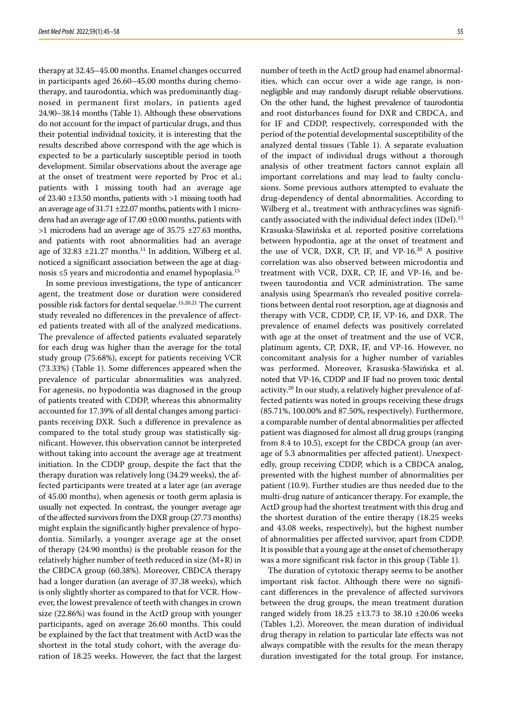therapy at 32.45–45.00 months. Enamel changes occurred in participants aged 26.60–45.00 months during chemotherapy, and taurodontia, which was predominantly diagnosed in permanent first molars, in patients aged 24.90–38.14 months (Table 1). Although these observations do not account for the impact of particular drugs, and thus their potential individual toxicity, it is interesting that the results described above correspond with the age which is expected to be a particularly susceptible period in tooth development. Similar observations about the average age at the onset of treatment were reported by Proc et al.; patients with 1 missing tooth had an average age of 23.40 ±13.50 months, patients with >1 missing tooth had an average age of  $31.71 \pm 22.07$  months, patients with 1 microdens had an average age of 17.00 ±0.00 months, patients with >1 microdens had an average age of 35.75 ±27.63 months, and patients with root abnormalities had an average age of  $32.83 \pm 21.27$  months.<sup>11</sup> In addition, Wilberg et al. noticed a significant association between the age at diagnosis ≤5 years and microdontia and enamel hypoplasia.15

In some previous investigations, the type of anticancer agent, the treatment dose or duration were considered possible risk factors for dental sequelae.<sup>15,20,21</sup> The current study revealed no differences in the prevalence of affected patients treated with all of the analyzed medications. The prevalence of affected patients evaluated separately for each drug was higher than the average for the total study group (75.68%), except for patients receiving VCR (73.33%) (Table 1). Some differences appeared when the prevalence of particular abnormalities was analyzed. For agenesis, no hypodontia was diagnosed in the group of patients treated with CDDP, whereas this abnormality accounted for 17.39% of all dental changes among participants receiving DXR. Such a difference in prevalence as compared to the total study group was statistically significant. However, this observation cannot be interpreted without taking into account the average age at treatment initiation. In the CDDP group, despite the fact that the therapy duration was relatively long (34.29 weeks), the af‑ fected participants were treated at a later age (an average of 45.00 months), when agenesis or tooth germ aplasia is usually not expected. In contrast, the younger average age of the affected survivors from the DXR group (27.73 months) might explain the significantly higher prevalence of hypodontia. Similarly, a younger average age at the onset of therapy (24.90 months) is the probable reason for the relatively higher number of teeth reduced in size (M+R) in the CBDCA group (60.38%). Moreover, CBDCA therapy had a longer duration (an average of 37.38 weeks), which is only slightly shorter as compared to that for VCR. However, the lowest prevalence of teeth with changes in crown size (22.86%) was found in the ActD group with younger participants, aged on average 26.60 months. This could be explained by the fact that treatment with ActD was the shortest in the total study cohort, with the average duration of 18.25 weeks. However, the fact that the largest

number of teeth in the ActD group had enamel abnormalities, which can occur over a wide age range, is nonnegligible and may randomly disrupt reliable observations. On the other hand, the highest prevalence of taurodontia and root disturbances found for DXR and CBDCA, and for IF and CDDP, respectively, corresponded with the period of the potential developmental susceptibility of the analyzed dental tissues (Table 1). A separate evaluation of the impact of individual drugs without a thorough analysis of other treatment factors cannot explain all important correlations and may lead to faulty conclusions. Some previous authors attempted to evaluate the drug-dependency of dental abnormalities. According to Wilberg et al., treatment with anthracyclines was significantly associated with the individual defect index (IDeI).15 Krasuska-Sławińska et al. reported positive correlations between hypodontia, age at the onset of treatment and the use of VCR, DXR, CP, IF, and VP-16.<sup>20</sup> A positive correlation was also observed between microdontia and treatment with VCR, DXR, CP, IF, and VP-16, and between taurodontia and VCR administration. The same analysis using Spearman's rho revealed positive correlations between dental root resorption, age at diagnosis and therapy with VCR, CDDP, CP, IF, VP‑16, and DXR. The prevalence of enamel defects was positively correlated with age at the onset of treatment and the use of VCR, platinum agents, CP, DXR, IF, and VP-16. However, no concomitant analysis for a higher number of variables was performed. Moreover, Krasuska-Sławińska et al. noted that VP‑16, CDDP and IF had no proven toxic dental activity.<sup>20</sup> In our study, a relatively higher prevalence of affected patients was noted in groups receiving these drugs (85.71%, 100.00% and 87.50%, respectively). Furthermore, a comparable number of dental abnormalities per affected patient was diagnosed for almost all drug groups (ranging from 8.4 to 10.5), except for the CBDCA group (an average of 5.3 abnormalities per affected patient). Unexpectedly, group receiving CDDP, which is a CBDCA analog, presented with the highest number of abnormalities per patient (10.9). Further studies are thus needed due to the multi-drug nature of anticancer therapy. For example, the ActD group had the shortest treatment with this drug and the shortest duration of the entire therapy (18.25 weeks and 43.08 weeks, respectively), but the highest number of abnormalities per affected survivor, apart from CDDP. It is possible that a young age at the onset of chemotherapy was a more significant risk factor in this group (Table 1).

The duration of cytotoxic therapy seems to be another important risk factor. Although there were no significant differences in the prevalence of affected survivors between the drug groups, the mean treatment duration ranged widely from 18.25 ±13.73 to 38.10 ±20.06 weeks (Tables 1,2). Moreover, the mean duration of individual drug therapy in relation to particular late effects was not always compatible with the results for the mean therapy duration investigated for the total group. For instance,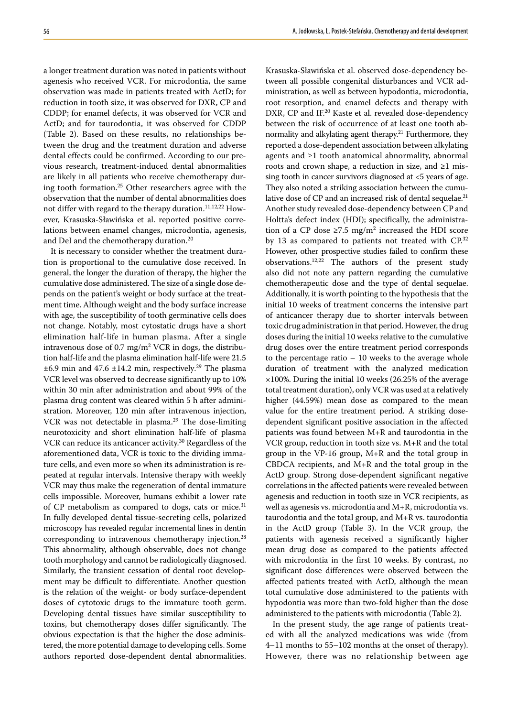a longer treatment duration was noted in patients without agenesis who received VCR. For microdontia, the same observation was made in patients treated with ActD; for reduction in tooth size, it was observed for DXR, CP and CDDP; for enamel defects, it was observed for VCR and ActD; and for taurodontia, it was observed for CDDP (Table 2). Based on these results, no relationships be‑ tween the drug and the treatment duration and adverse dental effects could be confirmed. According to our previous research, treatment-induced dental abnormalities are likely in all patients who receive chemotherapy during tooth formation.25 Other researchers agree with the observation that the number of dental abnormalities does not differ with regard to the therapy duration.<sup>11,12,22</sup> However, Krasuska-Sławińska et al. reported positive correlations between enamel changes, microdontia, agenesis, and DeI and the chemotherapy duration.20

It is necessary to consider whether the treatment duration is proportional to the cumulative dose received. In general, the longer the duration of therapy, the higher the cumulative dose administered. The size of a single dose de‑ pends on the patient's weight or body surface at the treatment time. Although weight and the body surface increase with age, the susceptibility of tooth germinative cells does not change. Notably, most cytostatic drugs have a short elimination half-life in human plasma. After a single intravenous dose of 0.7 mg/m2 VCR in dogs, the distribu‑ tion half-life and the plasma elimination half-life were 21.5  $\pm 6.9$  min and 47.6  $\pm 14.2$  min, respectively.<sup>29</sup> The plasma VCR level was observed to decrease significantly up to 10% within 30 min after administration and about 99% of the plasma drug content was cleared within 5 h after admini‑ stration. Moreover, 120 min after intravenous injection, VCR was not detectable in plasma.<sup>29</sup> The dose-limiting neurotoxicity and short elimination half-life of plasma VCR can reduce its anticancer activity.30 Regardless of the aforementioned data, VCR is toxic to the dividing immature cells, and even more so when its administration is repeated at regular intervals. Intensive therapy with weekly VCR may thus make the regeneration of dental immature cells impossible. Moreover, humans exhibit a lower rate of CP metabolism as compared to dogs, cats or mice.<sup>31</sup> In fully developed dental tissue-secreting cells, polarized microscopy has revealed regular incremental lines in dentin corresponding to intravenous chemotherapy injection.28 This abnormality, although observable, does not change tooth morphology and cannot be radiologically diagnosed. Similarly, the transient cessation of dental root development may be difficult to differentiate. Another question is the relation of the weight- or body surface-dependent doses of cytotoxic drugs to the immature tooth germ. Developing dental tissues have similar susceptibility to toxins, but chemotherapy doses differ significantly. The obvious expectation is that the higher the dose administered, the more potential damage to developing cells. Some authors reported dose-dependent dental abnormalities.

Krasuska-Sławińska et al. observed dose-dependency be‑ tween all possible congenital disturbances and VCR administration, as well as between hypodontia, microdontia, root resorption, and enamel defects and therapy with DXR, CP and IF.<sup>20</sup> Kaste et al. revealed dose-dependency between the risk of occurrence of at least one tooth abnormality and alkylating agent therapy.<sup>21</sup> Furthermore, they reported a dose-dependent association between alkylating agents and ≥1 tooth anatomical abnormality, abnormal roots and crown shape, a reduction in size, and  $\geq 1$  missing tooth in cancer survivors diagnosed at <5 years of age. They also noted a striking association between the cumulative dose of CP and an increased risk of dental sequelae.<sup>21</sup> Another study revealed dose-dependency between CP and Holtta's defect index (HDI); specifically, the administration of a CP dose  $\ge 7.5$  mg/m<sup>2</sup> increased the HDI score by 13 as compared to patients not treated with CP.<sup>32</sup> However, other prospective studies failed to confirm these observations.12,22 The authors of the present study also did not note any pattern regarding the cumulative chemotherapeutic dose and the type of dental sequelae. Additionally, it is worth pointing to the hypothesis that the initial 10 weeks of treatment concerns the intensive part of anticancer therapy due to shorter intervals between toxic drug administration in that period. However, the drug doses during the initial 10 weeks relative to the cumulative drug doses over the entire treatment period corresponds to the percentage ratio – 10 weeks to the average whole duration of treatment with the analyzed medication ×100%. During the initial 10 weeks (26.25% of the average total treatment duration), only VCR was used at a relatively higher (44.59%) mean dose as compared to the mean value for the entire treatment period. A striking dosedependent significant positive association in the affected patients was found between M+R and taurodontia in the VCR group, reduction in tooth size vs. M+R and the total group in the VP‑16 group, M+R and the total group in CBDCA recipients, and M+R and the total group in the ActD group. Strong dose-dependent significant negative correlations in the affected patients were revealed between agenesis and reduction in tooth size in VCR recipients, as well as agenesis vs. microdontia and M+R, microdontia vs. taurodontia and the total group, and M+R vs. taurodontia in the ActD group (Table 3). In the VCR group, the patients with agenesis received a significantly higher mean drug dose as compared to the patients affected with microdontia in the first 10 weeks. By contrast, no significant dose differences were observed between the affected patients treated with ActD, although the mean total cumulative dose administered to the patients with hypodontia was more than two-fold higher than the dose administered to the patients with microdontia (Table 2).

In the present study, the age range of patients treated with all the analyzed medications was wide (from 4–11 months to 55–102 months at the onset of therapy). However, there was no relationship between age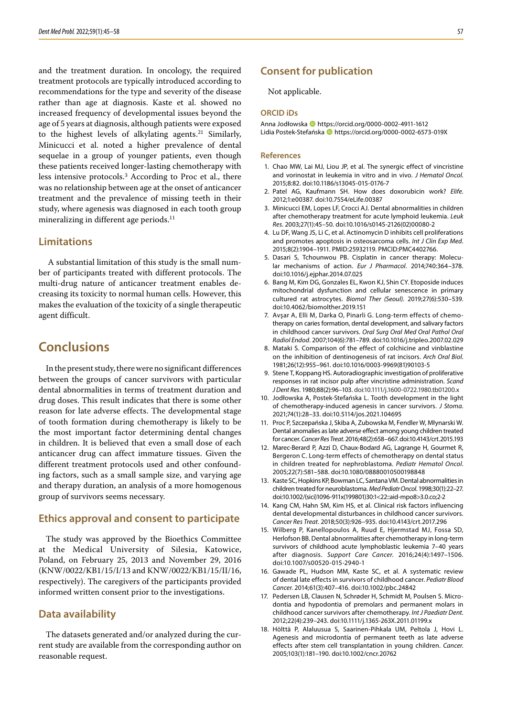and the treatment duration. In oncology, the required treatment protocols are typically introduced according to recommendations for the type and severity of the disease rather than age at diagnosis. Kaste et al. showed no increased frequency of developmental issues beyond the age of 5 years at diagnosis, although patients were exposed to the highest levels of alkylating agents.<sup>21</sup> Similarly, Minicucci et al. noted a higher prevalence of dental sequelae in a group of younger patients, even though these patients received longer-lasting chemotherapy with less intensive protocols.3 According to Proc et al., there was no relationship between age at the onset of anticancer treatment and the prevalence of missing teeth in their study, where agenesis was diagnosed in each tooth group mineralizing in different age periods.<sup>11</sup>

### **Limitations**

 A substantial limitation of this study is the small num‑ ber of participants treated with different protocols. The multi-drug nature of anticancer treatment enables decreasing its toxicity to normal human cells. However, this makes the evaluation of the toxicity of a single therapeutic agent difficult.

# **Conclusions**

In the present study, there were no significant differences between the groups of cancer survivors with particular dental abnormalities in terms of treatment duration and drug doses. This result indicates that there is some other reason for late adverse effects. The developmental stage of tooth formation during chemotherapy is likely to be the most important factor determining dental changes in children. It is believed that even a small dose of each anticancer drug can affect immature tissues. Given the different treatment protocols used and other confounding factors, such as a small sample size, and varying age and therapy duration, an analysis of a more homogenous group of survivors seems necessary.

#### **Ethics approval and consent to participate**

The study was approved by the Bioethics Committee at the Medical University of Silesia, Katowice, Poland, on February 25, 2013 and November 29, 2016 (KNW/0022/KB1/15/I/13 and KNW/0022/KB1/15/II/16, respectively). The caregivers of the participants provided informed written consent prior to the investigations.

### **Data availability**

The datasets generated and/or analyzed during the current study are available from the corresponding author on reasonable request.

### **Consent for publication**

Not applicable.

#### **ORCID iDs**

Anna Jodłowska https://orcid.org/0000-0002-4911-1612 Lidia Postek-Stefańska **I**https://orcid.org/0000-0002-6573-019X

#### **References**

- 1. Chao MW, Lai MJ, Liou JP, et al. The synergic effect of vincristine and vorinostat in leukemia in vitro and in vivo. *J Hematol Oncol*. 2015;8:82. doi:10.1186/s13045-015-0176-7
- 2. Patel AG, Kaufmann SH. How does doxorubicin work? *Elife*. 2012;1:e00387. doi:10.7554/eLife.00387
- 3. Minicucci EM, Lopes LF, Crocci AJ. Dental abnormalities in children after chemotherapy treatment for acute lymphoid leukemia. *Leuk Res*. 2003;27(1):45–50. doi:10.1016/s0145-2126(02)00080-2
- 4. Lu DF, Wang JS, Li C, et al. Actinomycin D inhibits cell proliferations and promotes apoptosis in osteosarcoma cells. *Int J Clin Exp Med*. 2015;8(2):1904–1911. PMID:25932119. PMCID:PMC4402766.
- 5. Dasari S, Tchounwou PB. Cisplatin in cancer therapy: Molecular mechanisms of action. *Eur J Pharmacol*. 2014;740:364–378. doi:10.1016/j.ejphar.2014.07.025
- 6. Bang M, Kim DG, Gonzales EL, Kwon KJ, Shin CY. Etoposide induces mitochondrial dysfunction and cellular senescence in primary cultured rat astrocytes. *Biomol Ther (Seoul)*. 2019;27(6):530–539. doi:10.4062/biomolther.2019.151
- 7. Avşar A, Elli M, Darka O, Pinarli G. Long-term effects of chemotherapy on caries formation, dental development, and salivary factors in childhood cancer survivors. *Oral Surg Oral Med Oral Pathol Oral Radiol Endod*. 2007;104(6):781–789. doi:10.1016/j.tripleo.2007.02.029
- 8. Mataki S. Comparison of the effect of colchicine and vinblastine on the inhibition of dentinogenesis of rat incisors. *Arch Oral Biol*. 1981;26(12):955–961. doi:10.1016/0003-9969(81)90103-5
- 9. Stene T, Koppang HS. Autoradiographic investigation of proliferative responses in rat incisor pulp after vincristine administration. *Scand J Dent Res*. 1980;88(2):96–103. doi:10.1111/j.1600-0722.1980.tb01200.x
- 10. Jodłowska A, Postek-Stefańska L. Tooth development in the light of chemotherapy-induced agenesis in cancer survivors. *J Stoma*. 2021;74(1):28–33. doi:10.5114/jos.2021.104695
- 11. Proc P, Szczepańska J, Skiba A, Zubowska M, Fendler W, Młynarski W. Dental anomalies as late adverse effect among young children treated for cancer. *Cancer Res Treat*. 2016;48(2):658–667. doi:10.4143/crt.2015.193
- 12. Marec-Berard P, Azzi D, Chaux-Bodard AG, Lagrange H, Gourmet R, Bergeron C. Long-term effects of chemotherapy on dental status in children treated for nephroblastoma. *Pediatr Hematol Oncol*. 2005;22(7):581–588. doi:10.1080/08880010500198848
- 13. Kaste SC, Hopkins KP, Bowman LC, Santana VM. Dental abnormalities in children treated for neuroblastoma. *Med Pediatr Oncol*. 1998;30(1):22–27. doi:10.1002/(sici)1096-911x(199801)30:1<22::aid-mpo8>3.0.co;2-2
- 14. Kang CM, Hahn SM, Kim HS, et al. Clinical risk factors influencing dental developmental disturbances in childhood cancer survivors. *Cancer Res Treat*. 2018;50(3):926–935. doi:10.4143/crt.2017.296
- 15. Wilberg P, Kanellopoulos A, Ruud E, Hjermstad MJ, Fossa SD, Herlofson BB. Dental abnormalities after chemotherapy in long-term survivors of childhood acute lymphoblastic leukemia 7–40 years after diagnosis. *Support Care Cancer*. 2016;24(4):1497–1506. doi:10.1007/s00520-015-2940-1
- 16. Gawade PL, Hudson MM, Kaste SC, et al. A systematic review of dental late effects in survivors of childhood cancer. *Pediatr Blood Cancer*. 2014;61(3):407–416. doi:10.1002/pbc.24842
- 17. Pedersen LB, Clausen N, Schrøder H, Schmidt M, Poulsen S. Microdontia and hypodontia of premolars and permanent molars in childhood cancer survivors after chemotherapy. *Int J Paediatr Dent*. 2012;22(4):239–243. doi:10.1111/j.1365-263X.2011.01199.x
- 18. Hölttä P, Alaluusua S, Saarinen-Pihkala UM, Peltola J, Hovi L. Agenesis and microdontia of permanent teeth as late adverse effects after stem cell transplantation in young children. *Cancer*. 2005;103(1):181–190. doi:10.1002/cncr.20762